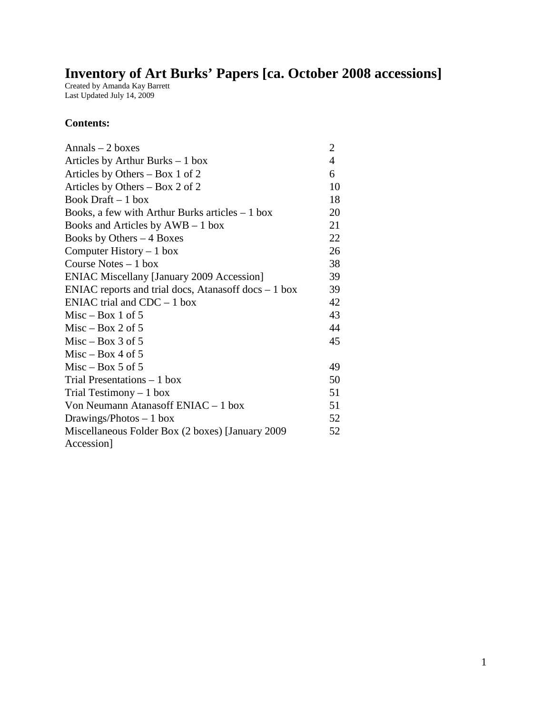# **Inventory of Art Burks' Papers [ca. October 2008 accessions]**

Created by Amanda Kay Barrett Last Updated July 14, 2009

#### **Contents:**

| $Annals - 2 boxes$                                    | 2              |
|-------------------------------------------------------|----------------|
| Articles by Arthur Burks $-1$ box                     | $\overline{4}$ |
| Articles by Others $-$ Box 1 of 2                     | 6              |
| Articles by Others – Box 2 of 2                       | 10             |
| Book Draft $-1$ box                                   | 18             |
| Books, a few with Arthur Burks articles $-1$ box      | 20             |
| Books and Articles by $AWB - 1$ box                   | 21             |
| Books by Others $-4$ Boxes                            | 22             |
| Computer History $-1$ box                             | 26             |
| Course Notes $-1$ box                                 | 38             |
| <b>ENIAC Miscellany [January 2009 Accession]</b>      | 39             |
| ENIAC reports and trial docs, Atanasoff docs $-1$ box | 39             |
| ENIAC trial and $CDC - 1$ box                         | 42             |
| $Misc - Box 1 of 5$                                   | 43             |
| $Misc - Box 2 of 5$                                   | 44             |
| $Misc - Box 3 of 5$                                   | 45             |
| $Misc - Box 4 of 5$                                   |                |
| $Misc - Box 5$ of 5                                   | 49             |
| Trial Presentations $-1$ box                          | 50             |
| Trial Testimony $-1$ box                              | 51             |
| Von Neumann Atanasoff $ENIAC - 1$ box                 | 51             |
| Drawings/Photos $-1$ box                              | 52             |
| Miscellaneous Folder Box (2 boxes) [January 2009      | 52             |
| Accession]                                            |                |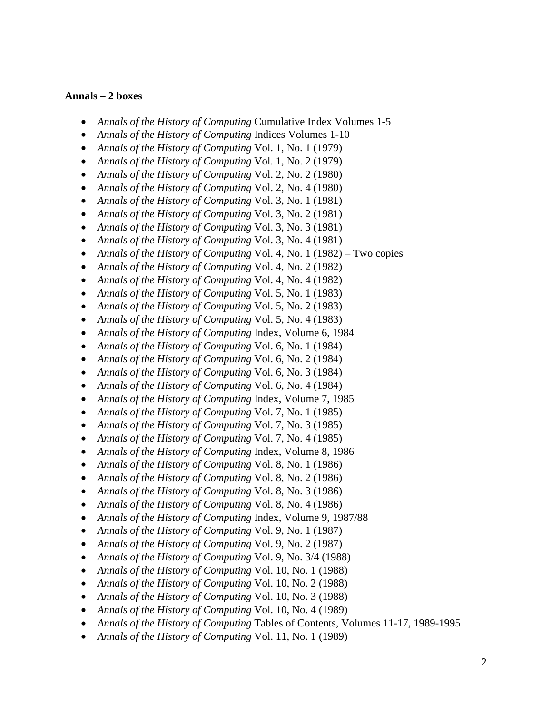#### **Annals – 2 boxes**

- *Annals of the History of Computing Cumulative Index Volumes 1-5*
- *Annals of the History of Computing* Indices Volumes 1-10
- *Annals of the History of Computing* Vol. 1, No. 1 (1979)
- *Annals of the History of Computing* Vol. 1, No. 2 (1979)
- *Annals of the History of Computing* Vol. 2, No. 2 (1980)
- *Annals of the History of Computing* Vol. 2, No. 4 (1980)
- *Annals of the History of Computing* Vol. 3, No. 1 (1981)
- *Annals of the History of Computing* Vol. 3, No. 2 (1981)
- *Annals of the History of Computing* Vol. 3, No. 3 (1981)
- *Annals of the History of Computing* Vol. 3, No. 4 (1981)
- *Annals of the History of Computing* Vol. 4, No. 1 (1982) Two copies
- *Annals of the History of Computing* Vol. 4, No. 2 (1982)
- *Annals of the History of Computing* Vol. 4, No. 4 (1982)
- *Annals of the History of Computing* Vol. 5, No. 1 (1983)
- *Annals of the History of Computing* Vol. 5, No. 2 (1983)
- *Annals of the History of Computing* Vol. 5, No. 4 (1983)
- *Annals of the History of Computing* Index, Volume 6, 1984
- *Annals of the History of Computing* Vol. 6, No. 1 (1984)
- *Annals of the History of Computing* Vol. 6, No. 2 (1984)
- *Annals of the History of Computing* Vol. 6, No. 3 (1984)
- *Annals of the History of Computing* Vol. 6, No. 4 (1984)
- *Annals of the History of Computing* Index, Volume 7, 1985
- *Annals of the History of Computing* Vol. 7, No. 1 (1985)
- *Annals of the History of Computing* Vol. 7, No. 3 (1985)
- *Annals of the History of Computing* Vol. 7, No. 4 (1985)
- *Annals of the History of Computing* Index, Volume 8, 1986
- *Annals of the History of Computing* Vol. 8, No. 1 (1986)
- *Annals of the History of Computing* Vol. 8, No. 2 (1986)
- *Annals of the History of Computing* Vol. 8, No. 3 (1986)
- *Annals of the History of Computing* Vol. 8, No. 4 (1986)
- *Annals of the History of Computing* Index, Volume 9, 1987/88
- *Annals of the History of Computing* Vol. 9, No. 1 (1987)
- *Annals of the History of Computing* Vol. 9, No. 2 (1987)
- *Annals of the History of Computing* Vol. 9, No. 3/4 (1988)
- *Annals of the History of Computing* Vol. 10, No. 1 (1988)
- *Annals of the History of Computing* Vol. 10, No. 2 (1988)
- *Annals of the History of Computing* Vol. 10, No. 3 (1988)
- *Annals of the History of Computing* Vol. 10, No. 4 (1989)
- *Annals of the History of Computing* Tables of Contents, Volumes 11-17, 1989-1995
- *Annals of the History of Computing* Vol. 11, No. 1 (1989)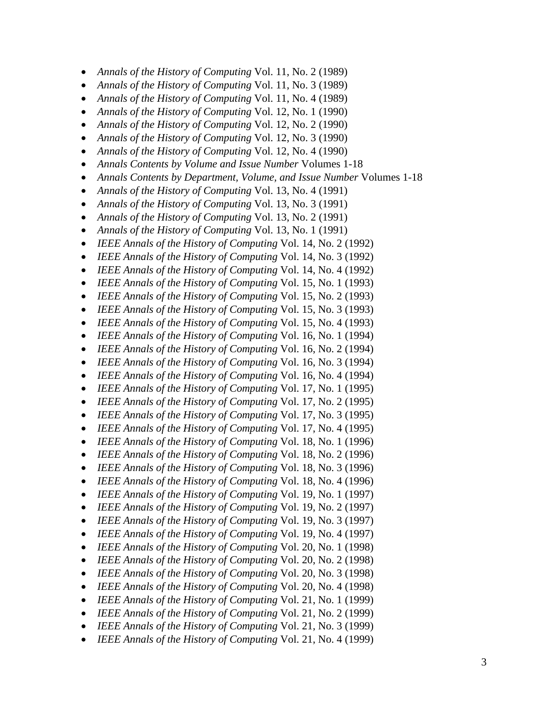- *Annals of the History of Computing* Vol. 11, No. 2 (1989)
- *Annals of the History of Computing* Vol. 11, No. 3 (1989)
- *Annals of the History of Computing* Vol. 11, No. 4 (1989)
- *Annals of the History of Computing* Vol. 12, No. 1 (1990)
- *Annals of the History of Computing* Vol. 12, No. 2 (1990)
- *Annals of the History of Computing* Vol. 12, No. 3 (1990)
- *Annals of the History of Computing* Vol. 12, No. 4 (1990)
- *Annals Contents by Volume and Issue Number* Volumes 1-18
- *Annals Contents by Department, Volume, and Issue Number* Volumes 1-18
- *Annals of the History of Computing* Vol. 13, No. 4 (1991)
- *Annals of the History of Computing* Vol. 13, No. 3 (1991)
- *Annals of the History of Computing* Vol. 13, No. 2 (1991)
- *Annals of the History of Computing* Vol. 13, No. 1 (1991)
- *IEEE Annals of the History of Computing* Vol. 14, No. 2 (1992)
- *IEEE Annals of the History of Computing* Vol. 14, No. 3 (1992)
- *IEEE Annals of the History of Computing* Vol. 14, No. 4 (1992)
- *IEEE Annals of the History of Computing* Vol. 15, No. 1 (1993)
- *IEEE Annals of the History of Computing* Vol. 15, No. 2 (1993)
- *IEEE Annals of the History of Computing* Vol. 15, No. 3 (1993)
- *IEEE Annals of the History of Computing* Vol. 15, No. 4 (1993)
- *IEEE Annals of the History of Computing* Vol. 16, No. 1 (1994)
- *IEEE Annals of the History of Computing* Vol. 16, No. 2 (1994)
- *IEEE Annals of the History of Computing* Vol. 16, No. 3 (1994)
- *IEEE Annals of the History of Computing* Vol. 16, No. 4 (1994)
- *IEEE Annals of the History of Computing* Vol. 17, No. 1 (1995)
- *IEEE Annals of the History of Computing* Vol. 17, No. 2 (1995)
- *IEEE Annals of the History of Computing* Vol. 17, No. 3 (1995)
- *IEEE Annals of the History of Computing* Vol. 17, No. 4 (1995)
- *IEEE Annals of the History of Computing* Vol. 18, No. 1 (1996)
- *IEEE Annals of the History of Computing* Vol. 18, No. 2 (1996)
- *IEEE Annals of the History of Computing* Vol. 18, No. 3 (1996)
- *IEEE Annals of the History of Computing* Vol. 18, No. 4 (1996)
- *IEEE Annals of the History of Computing* Vol. 19, No. 1 (1997)
- *IEEE Annals of the History of Computing* Vol. 19, No. 2 (1997)
- *IEEE Annals of the History of Computing* Vol. 19, No. 3 (1997)
- *IEEE Annals of the History of Computing* Vol. 19, No. 4 (1997)
- *IEEE Annals of the History of Computing* Vol. 20, No. 1 (1998)
- *IEEE Annals of the History of Computing* Vol. 20, No. 2 (1998)
- *IEEE Annals of the History of Computing* Vol. 20, No. 3 (1998)
- *IEEE Annals of the History of Computing* Vol. 20, No. 4 (1998)
- *IEEE Annals of the History of Computing* Vol. 21, No. 1 (1999)
- *IEEE Annals of the History of Computing* Vol. 21, No. 2 (1999)
- *IEEE Annals of the History of Computing* Vol. 21, No. 3 (1999)
- *IEEE Annals of the History of Computing* Vol. 21, No. 4 (1999)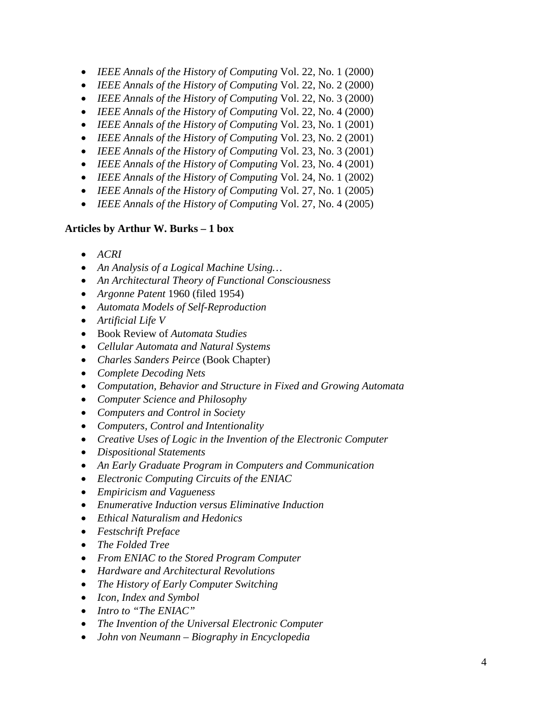- *IEEE Annals of the History of Computing* Vol. 22, No. 1 (2000)
- *IEEE Annals of the History of Computing* Vol. 22, No. 2 (2000)
- *IEEE Annals of the History of Computing* Vol. 22, No. 3 (2000)
- *IEEE Annals of the History of Computing* Vol. 22, No. 4 (2000)
- *IEEE Annals of the History of Computing* Vol. 23, No. 1 (2001)
- *IEEE Annals of the History of Computing* Vol. 23, No. 2 (2001)
- *IEEE Annals of the History of Computing* Vol. 23, No. 3 (2001)
- *IEEE Annals of the History of Computing* Vol. 23, No. 4 (2001)
- *IEEE Annals of the History of Computing* Vol. 24, No. 1 (2002)
- *IEEE Annals of the History of Computing* Vol. 27, No. 1 (2005)
- *IEEE Annals of the History of Computing* Vol. 27, No. 4 (2005)

#### **Articles by Arthur W. Burks – 1 box**

- *ACRI*
- *An Analysis of a Logical Machine Using…*
- *An Architectural Theory of Functional Consciousness*
- *Argonne Patent* 1960 (filed 1954)
- *Automata Models of Self-Reproduction*
- *Artificial Life V*
- Book Review of *Automata Studies*
- *Cellular Automata and Natural Systems*
- *Charles Sanders Peirce* (Book Chapter)
- *Complete Decoding Nets*
- *Computation, Behavior and Structure in Fixed and Growing Automata*
- *Computer Science and Philosophy*
- *Computers and Control in Society*
- *Computers, Control and Intentionality*
- *Creative Uses of Logic in the Invention of the Electronic Computer*
- *Dispositional Statements*
- *An Early Graduate Program in Computers and Communication*
- *Electronic Computing Circuits of the ENIAC*
- *Empiricism and Vagueness*
- *Enumerative Induction versus Eliminative Induction*
- *Ethical Naturalism and Hedonics*
- *Festschrift Preface*
- *The Folded Tree*
- *From ENIAC to the Stored Program Computer*
- *Hardware and Architectural Revolutions*
- *The History of Early Computer Switching*
- *Icon, Index and Symbol*
- *Intro to "The ENIAC"*
- *The Invention of the Universal Electronic Computer*
- *John von Neumann – Biography in Encyclopedia*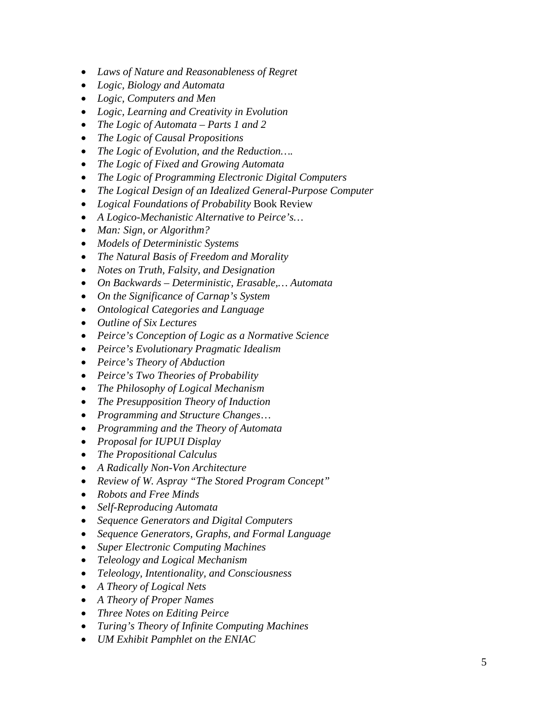- *Laws of Nature and Reasonableness of Regret*
- *Logic, Biology and Automata*
- *Logic, Computers and Men*
- *Logic, Learning and Creativity in Evolution*
- *The Logic of Automata – Parts 1 and 2*
- *The Logic of Causal Propositions*
- *The Logic of Evolution, and the Reduction….*
- *The Logic of Fixed and Growing Automata*
- *The Logic of Programming Electronic Digital Computers*
- *The Logical Design of an Idealized General-Purpose Computer*
- *Logical Foundations of Probability* Book Review
- *A Logico-Mechanistic Alternative to Peirce's…*
- *Man: Sign, or Algorithm?*
- *Models of Deterministic Systems*
- *The Natural Basis of Freedom and Morality*
- *Notes on Truth, Falsity, and Designation*
- *On Backwards – Deterministic, Erasable,… Automata*
- *On the Significance of Carnap's System*
- *Ontological Categories and Language*
- *Outline of Six Lectures*
- *Peirce's Conception of Logic as a Normative Science*
- *Peirce's Evolutionary Pragmatic Idealism*
- *Peirce's Theory of Abduction*
- *Peirce's Two Theories of Probability*
- *The Philosophy of Logical Mechanism*
- *The Presupposition Theory of Induction*
- *Programming and Structure Changes*…
- *Programming and the Theory of Automata*
- *Proposal for IUPUI Display*
- *The Propositional Calculus*
- *A Radically Non-Von Architecture*
- *Review of W. Aspray "The Stored Program Concept"*
- *Robots and Free Minds*
- *Self-Reproducing Automata*
- *Sequence Generators and Digital Computers*
- *Sequence Generators, Graphs, and Formal Language*
- *Super Electronic Computing Machines*
- *Teleology and Logical Mechanism*
- *Teleology, Intentionality, and Consciousness*
- *A Theory of Logical Nets*
- *A Theory of Proper Names*
- *Three Notes on Editing Peirce*
- *Turing's Theory of Infinite Computing Machines*
- *UM Exhibit Pamphlet on the ENIAC*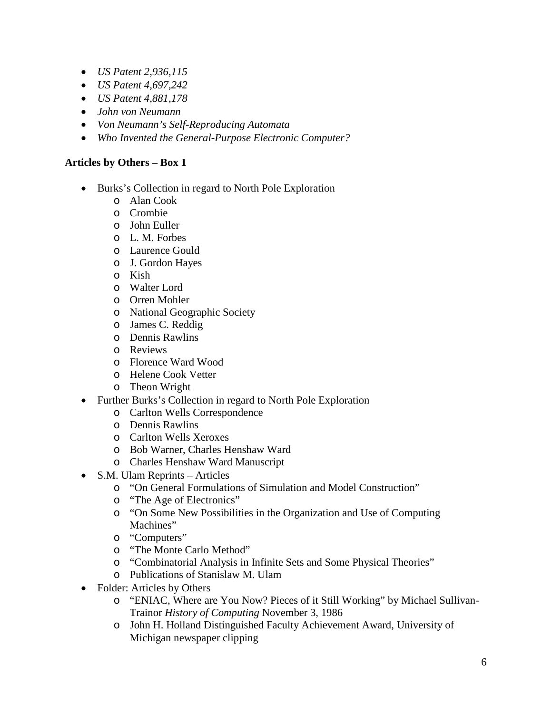- *US Patent 2,936,115*
- *US Patent 4,697,242*
- *US Patent 4,881,178*
- *John von Neumann*
- *Von Neumann's Self-Reproducing Automata*
- *Who Invented the General-Purpose Electronic Computer?*

### **Articles by Others – Box 1**

- Burks's Collection in regard to North Pole Exploration
	- o Alan Cook
	- o Crombie
	- o John Euller
	- o L. M. Forbes
	- o Laurence Gould
	- o J. Gordon Hayes
	- o Kish
	- o Walter Lord
	- o Orren Mohler
	- o National Geographic Society
	- o James C. Reddig
	- o Dennis Rawlins
	- o Reviews
	- o Florence Ward Wood
	- o Helene Cook Vetter
	- o Theon Wright
- Further Burks's Collection in regard to North Pole Exploration
	- o Carlton Wells Correspondence
	- o Dennis Rawlins
	- o Carlton Wells Xeroxes
	- o Bob Warner, Charles Henshaw Ward
	- o Charles Henshaw Ward Manuscript
- S.M. Ulam Reprints Articles
	- o "On General Formulations of Simulation and Model Construction"
	- o "The Age of Electronics"
	- o "On Some New Possibilities in the Organization and Use of Computing Machines"
	- o "Computers"
	- o "The Monte Carlo Method"
	- o "Combinatorial Analysis in Infinite Sets and Some Physical Theories"
	- o Publications of Stanislaw M. Ulam
- Folder: Articles by Others
	- o "ENIAC, Where are You Now? Pieces of it Still Working" by Michael Sullivan-Trainor *History of Computing* November 3, 1986
	- o John H. Holland Distinguished Faculty Achievement Award, University of Michigan newspaper clipping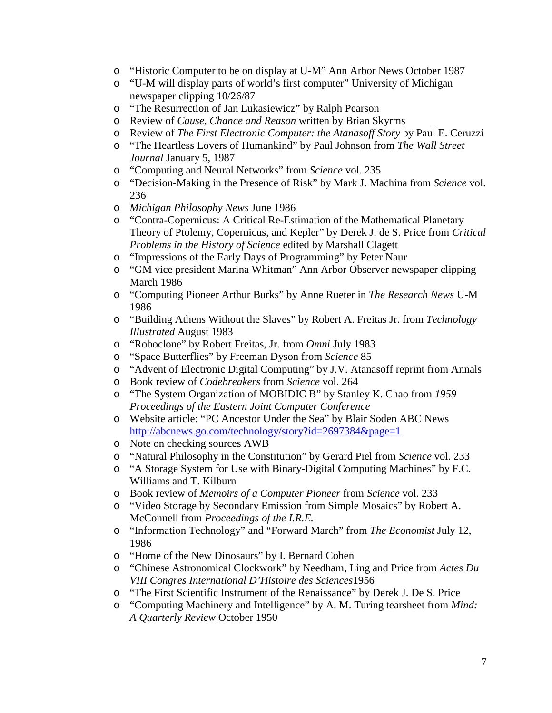- o "Historic Computer to be on display at U-M" Ann Arbor News October 1987
- o "U-M will display parts of world's first computer" University of Michigan newspaper clipping 10/26/87
- o "The Resurrection of Jan Lukasiewicz" by Ralph Pearson
- o Review of *Cause, Chance and Reason* written by Brian Skyrms
- o Review of *The First Electronic Computer: the Atanasoff Story* by Paul E. Ceruzzi
- o "The Heartless Lovers of Humankind" by Paul Johnson from *The Wall Street Journal* January 5, 1987
- o "Computing and Neural Networks" from *Science* vol. 235
- o "Decision-Making in the Presence of Risk" by Mark J. Machina from *Science* vol. 236
- o *Michigan Philosophy News* June 1986
- o "Contra-Copernicus: A Critical Re-Estimation of the Mathematical Planetary Theory of Ptolemy, Copernicus, and Kepler" by Derek J. de S. Price from *Critical Problems in the History of Science* edited by Marshall Clagett
- o "Impressions of the Early Days of Programming" by Peter Naur
- o "GM vice president Marina Whitman" Ann Arbor Observer newspaper clipping March 1986
- o "Computing Pioneer Arthur Burks" by Anne Rueter in *The Research News* U-M 1986
- o "Building Athens Without the Slaves" by Robert A. Freitas Jr. from *Technology Illustrated* August 1983
- o "Roboclone" by Robert Freitas, Jr. from *Omni* July 1983
- o "Space Butterflies" by Freeman Dyson from *Science* 85
- o "Advent of Electronic Digital Computing" by J.V. Atanasoff reprint from Annals
- o Book review of *Codebreakers* from *Science* vol. 264
- o "The System Organization of MOBIDIC B" by Stanley K. Chao from *1959 Proceedings of the Eastern Joint Computer Conference*
- o Website article: "PC Ancestor Under the Sea" by Blair Soden ABC News <http://abcnews.go.com/technology/story?id=2697384&page=1>
- o Note on checking sources AWB
- o "Natural Philosophy in the Constitution" by Gerard Piel from *Science* vol. 233
- o "A Storage System for Use with Binary-Digital Computing Machines" by F.C. Williams and T. Kilburn
- o Book review of *Memoirs of a Computer Pioneer* from *Science* vol. 233
- o "Video Storage by Secondary Emission from Simple Mosaics" by Robert A. McConnell from *Proceedings of the I.R.E.*
- o "Information Technology" and "Forward March" from *The Economist* July 12, 1986
- o "Home of the New Dinosaurs" by I. Bernard Cohen
- o "Chinese Astronomical Clockwork" by Needham, Ling and Price from *Actes Du VIII Congres International D'Histoire des Sciences*1956
- o "The First Scientific Instrument of the Renaissance" by Derek J. De S. Price
- o "Computing Machinery and Intelligence" by A. M. Turing tearsheet from *Mind: A Quarterly Review* October 1950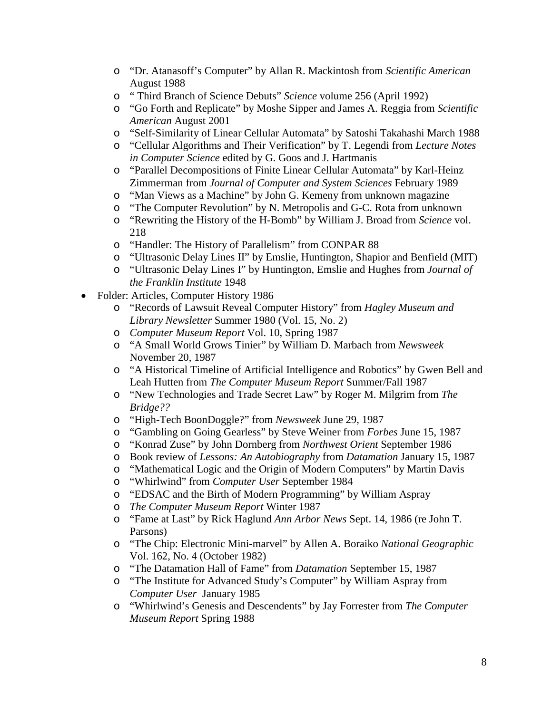- o "Dr. Atanasoff's Computer" by Allan R. Mackintosh from *Scientific American*  August 1988
- o " Third Branch of Science Debuts" *Science* volume 256 (April 1992)
- o "Go Forth and Replicate" by Moshe Sipper and James A. Reggia from *Scientific American* August 2001
- o "Self-Similarity of Linear Cellular Automata" by Satoshi Takahashi March 1988
- o "Cellular Algorithms and Their Verification" by T. Legendi from *Lecture Notes in Computer Science* edited by G. Goos and J. Hartmanis
- o "Parallel Decompositions of Finite Linear Cellular Automata" by Karl-Heinz Zimmerman from *Journal of Computer and System Sciences* February 1989
- o "Man Views as a Machine" by John G. Kemeny from unknown magazine
- o "The Computer Revolution" by N. Metropolis and G-C. Rota from unknown
- o "Rewriting the History of the H-Bomb" by William J. Broad from *Science* vol. 218
- o "Handler: The History of Parallelism" from CONPAR 88
- o "Ultrasonic Delay Lines II" by Emslie, Huntington, Shapior and Benfield (MIT)
- o "Ultrasonic Delay Lines I" by Huntington, Emslie and Hughes from *Journal of the Franklin Institute* 1948
- Folder: Articles, Computer History 1986
	- o "Records of Lawsuit Reveal Computer History" from *Hagley Museum and Library Newsletter* Summer 1980 (Vol. 15, No. 2)
	- o *Computer Museum Report* Vol. 10, Spring 1987
	- o "A Small World Grows Tinier" by William D. Marbach from *Newsweek* November 20, 1987
	- o "A Historical Timeline of Artificial Intelligence and Robotics" by Gwen Bell and Leah Hutten from *The Computer Museum Report* Summer/Fall 1987
	- o "New Technologies and Trade Secret Law" by Roger M. Milgrim from *The Bridge??*
	- o "High-Tech BoonDoggle?" from *Newsweek* June 29, 1987
	- o "Gambling on Going Gearless" by Steve Weiner from *Forbes* June 15, 1987
	- o "Konrad Zuse" by John Dornberg from *Northwest Orient* September 1986
	-
	- o Book review of *Lessons: An Autobiography* from *Datamation* January 15, 1987 "Mathematical Logic and the Origin of Modern Computers" by Martin Davis
	- o "Whirlwind" from *Computer User* September 1984
	- o "EDSAC and the Birth of Modern Programming" by William Aspray
	- o *The Computer Museum Report* Winter 1987
	- o "Fame at Last" by Rick Haglund *Ann Arbor News* Sept. 14, 1986 (re John T. Parsons)
	- o "The Chip: Electronic Mini-marvel" by Allen A. Boraiko *National Geographic* Vol. 162, No. 4 (October 1982)
	- o "The Datamation Hall of Fame" from *Datamation* September 15, 1987
	- o "The Institute for Advanced Study's Computer" by William Aspray from *Computer User* January 1985
	- o "Whirlwind's Genesis and Descendents" by Jay Forrester from *The Computer Museum Report* Spring 1988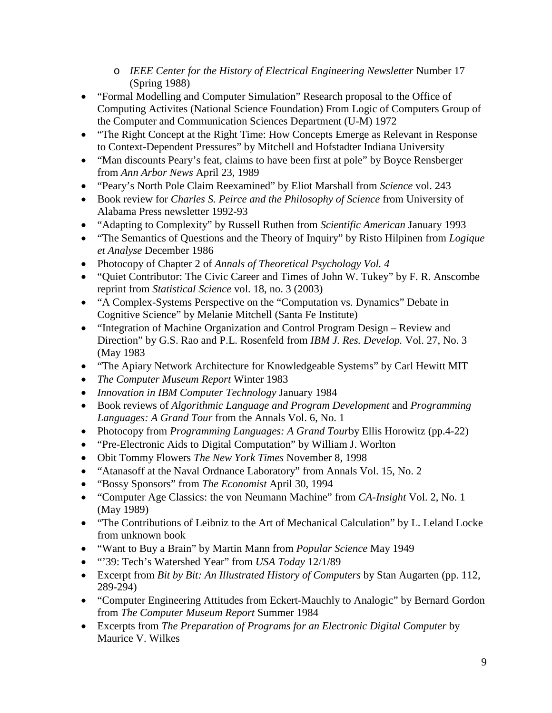- o *IEEE Center for the History of Electrical Engineering Newsletter* Number 17 (Spring 1988)
- "Formal Modelling and Computer Simulation" Research proposal to the Office of Computing Activites (National Science Foundation) From Logic of Computers Group of the Computer and Communication Sciences Department (U-M) 1972
- "The Right Concept at the Right Time: How Concepts Emerge as Relevant in Response to Context-Dependent Pressures" by Mitchell and Hofstadter Indiana University
- "Man discounts Peary's feat, claims to have been first at pole" by Boyce Rensberger from *Ann Arbor News* April 23, 1989
- "Peary's North Pole Claim Reexamined" by Eliot Marshall from *Science* vol. 243
- Book review for *Charles S. Peirce and the Philosophy of Science* from University of Alabama Press newsletter 1992-93
- "Adapting to Complexity" by Russell Ruthen from *Scientific American* January 1993
- "The Semantics of Questions and the Theory of Inquiry" by Risto Hilpinen from *Logique et Analyse* December 1986
- Photocopy of Chapter 2 of *Annals of Theoretical Psychology Vol. 4*
- "Quiet Contributor: The Civic Career and Times of John W. Tukey" by F. R. Anscombe reprint from *Statistical Science* vol. 18, no. 3 (2003)
- "A Complex-Systems Perspective on the "Computation vs. Dynamics" Debate in Cognitive Science" by Melanie Mitchell (Santa Fe Institute)
- "Integration of Machine Organization and Control Program Design Review and Direction" by G.S. Rao and P.L. Rosenfeld from *IBM J. Res. Develop.* Vol. 27, No. 3 (May 1983
- "The Apiary Network Architecture for Knowledgeable Systems" by Carl Hewitt MIT
- *The Computer Museum Report* Winter 1983
- *Innovation in IBM Computer Technology* January 1984
- Book reviews of *Algorithmic Language and Program Development* and *Programming Languages: A Grand Tour* from the Annals Vol. 6, No. 1
- Photocopy from *Programming Languages: A Grand Tour*by Ellis Horowitz (pp.4-22)
- "Pre-Electronic Aids to Digital Computation" by William J. Worlton
- Obit Tommy Flowers *The New York Times* November 8, 1998
- "Atanasoff at the Naval Ordnance Laboratory" from Annals Vol. 15, No. 2
- "Bossy Sponsors" from *The Economist* April 30, 1994
- "Computer Age Classics: the von Neumann Machine" from *CA-Insight* Vol. 2, No. 1 (May 1989)
- "The Contributions of Leibniz to the Art of Mechanical Calculation" by L. Leland Locke from unknown book
- "Want to Buy a Brain" by Martin Mann from *Popular Science* May 1949
- "'39: Tech's Watershed Year" from *USA Today* 12/1/89
- Excerpt from *Bit by Bit: An Illustrated History of Computers* by Stan Augarten (pp. 112, 289-294)
- "Computer Engineering Attitudes from Eckert-Mauchly to Analogic" by Bernard Gordon from *The Computer Museum Report* Summer 1984
- Excerpts from *The Preparation of Programs for an Electronic Digital Computer* by Maurice V. Wilkes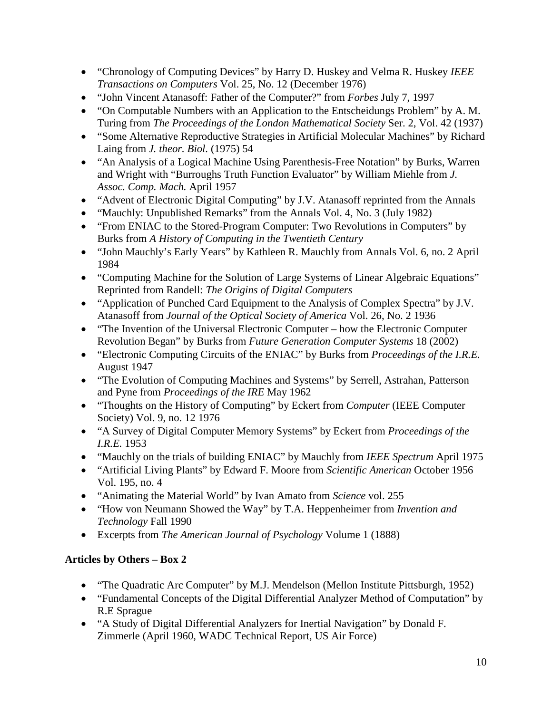- "Chronology of Computing Devices" by Harry D. Huskey and Velma R. Huskey *IEEE Transactions on Computers* Vol. 25, No. 12 (December 1976)
- "John Vincent Atanasoff: Father of the Computer?" from *Forbes* July 7, 1997
- "On Computable Numbers with an Application to the Entscheidungs Problem" by A. M. Turing from *The Proceedings of the London Mathematical Society* Ser. 2, Vol. 42 (1937)
- "Some Alternative Reproductive Strategies in Artificial Molecular Machines" by Richard Laing from *J. theor. Biol.* (1975) 54
- "An Analysis of a Logical Machine Using Parenthesis-Free Notation" by Burks, Warren and Wright with "Burroughs Truth Function Evaluator" by William Miehle from *J. Assoc. Comp. Mach.* April 1957
- "Advent of Electronic Digital Computing" by J.V. Atanasoff reprinted from the Annals
- "Mauchly: Unpublished Remarks" from the Annals Vol. 4, No. 3 (July 1982)
- "From ENIAC to the Stored-Program Computer: Two Revolutions in Computers" by Burks from *A History of Computing in the Twentieth Century*
- "John Mauchly's Early Years" by Kathleen R. Mauchly from Annals Vol. 6, no. 2 April 1984
- "Computing Machine for the Solution of Large Systems of Linear Algebraic Equations" Reprinted from Randell: *The Origins of Digital Computers*
- "Application of Punched Card Equipment to the Analysis of Complex Spectra" by J.V. Atanasoff from *Journal of the Optical Society of America* Vol. 26, No. 2 1936
- "The Invention of the Universal Electronic Computer how the Electronic Computer Revolution Began" by Burks from *Future Generation Computer Systems* 18 (2002)
- "Electronic Computing Circuits of the ENIAC" by Burks from *Proceedings of the I.R.E.* August 1947
- "The Evolution of Computing Machines and Systems" by Serrell, Astrahan, Patterson and Pyne from *Proceedings of the IRE* May 1962
- "Thoughts on the History of Computing" by Eckert from *Computer* (IEEE Computer Society) Vol. 9, no. 12 1976
- "A Survey of Digital Computer Memory Systems" by Eckert from *Proceedings of the I.R.E.* 1953
- "Mauchly on the trials of building ENIAC" by Mauchly from *IEEE Spectrum* April 1975
- "Artificial Living Plants" by Edward F. Moore from *Scientific American* October 1956 Vol. 195, no. 4
- "Animating the Material World" by Ivan Amato from *Science* vol. 255
- "How von Neumann Showed the Way" by T.A. Heppenheimer from *Invention and Technology* Fall 1990
- Excerpts from *The American Journal of Psychology* Volume 1 (1888)

# **Articles by Others – Box 2**

- "The Quadratic Arc Computer" by M.J. Mendelson (Mellon Institute Pittsburgh, 1952)
- "Fundamental Concepts of the Digital Differential Analyzer Method of Computation" by R.E Sprague
- "A Study of Digital Differential Analyzers for Inertial Navigation" by Donald F. Zimmerle (April 1960, WADC Technical Report, US Air Force)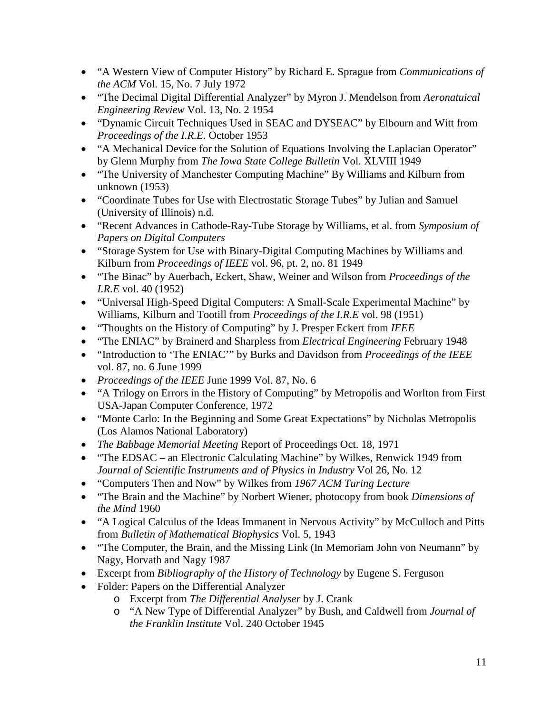- "A Western View of Computer History" by Richard E. Sprague from *Communications of the ACM* Vol. 15, No. 7 July 1972
- "The Decimal Digital Differential Analyzer" by Myron J. Mendelson from *Aeronatuical Engineering Review* Vol. 13, No. 2 1954
- "Dynamic Circuit Techniques Used in SEAC and DYSEAC" by Elbourn and Witt from *Proceedings of the I.R.E.* October 1953
- "A Mechanical Device for the Solution of Equations Involving the Laplacian Operator" by Glenn Murphy from *The Iowa State College Bulletin* Vol. XLVIII 1949
- "The University of Manchester Computing Machine" By Williams and Kilburn from unknown (1953)
- "Coordinate Tubes for Use with Electrostatic Storage Tubes" by Julian and Samuel (University of Illinois) n.d.
- "Recent Advances in Cathode-Ray-Tube Storage by Williams, et al. from *Symposium of Papers on Digital Computers*
- "Storage System for Use with Binary-Digital Computing Machines by Williams and Kilburn from *Proceedings of IEEE* vol. 96, pt. 2, no. 81 1949
- "The Binac" by Auerbach, Eckert, Shaw, Weiner and Wilson from *Proceedings of the I.R.E* vol. 40 (1952)
- "Universal High-Speed Digital Computers: A Small-Scale Experimental Machine" by Williams, Kilburn and Tootill from *Proceedings of the I.R.E* vol. 98 (1951)
- "Thoughts on the History of Computing" by J. Presper Eckert from *IEEE*
- "The ENIAC" by Brainerd and Sharpless from *Electrical Engineering* February 1948
- "Introduction to 'The ENIAC'" by Burks and Davidson from *Proceedings of the IEEE* vol. 87, no. 6 June 1999
- *Proceedings of the IEEE* June 1999 Vol. 87, No. 6
- "A Trilogy on Errors in the History of Computing" by Metropolis and Worlton from First USA-Japan Computer Conference, 1972
- "Monte Carlo: In the Beginning and Some Great Expectations" by Nicholas Metropolis (Los Alamos National Laboratory)
- *The Babbage Memorial Meeting* Report of Proceedings Oct. 18, 1971
- "The EDSAC an Electronic Calculating Machine" by Wilkes, Renwick 1949 from *Journal of Scientific Instruments and of Physics in Industry* Vol 26, No. 12
- "Computers Then and Now" by Wilkes from *1967 ACM Turing Lecture*
- "The Brain and the Machine" by Norbert Wiener, photocopy from book *Dimensions of the Mind* 1960
- "A Logical Calculus of the Ideas Immanent in Nervous Activity" by McCulloch and Pitts from *Bulletin of Mathematical Biophysics* Vol. 5, 1943
- "The Computer, the Brain, and the Missing Link (In Memoriam John von Neumann" by Nagy, Horvath and Nagy 1987
- Excerpt from *Bibliography of the History of Technology* by Eugene S. Ferguson
- Folder: Papers on the Differential Analyzer
	- o Excerpt from *The Differential Analyser* by J. Crank
	- o "A New Type of Differential Analyzer" by Bush, and Caldwell from *Journal of the Franklin Institute* Vol. 240 October 1945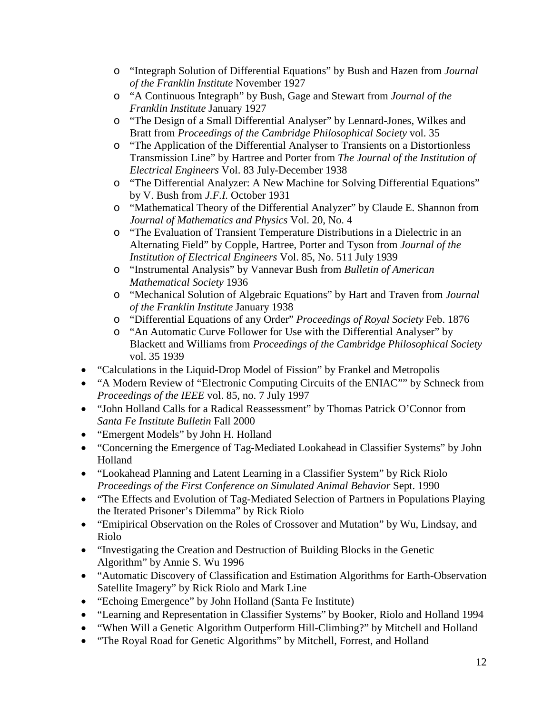- o "Integraph Solution of Differential Equations" by Bush and Hazen from *Journal of the Franklin Institute* November 1927
- o "A Continuous Integraph" by Bush, Gage and Stewart from *Journal of the Franklin Institute* January 1927
- o "The Design of a Small Differential Analyser" by Lennard-Jones, Wilkes and Bratt from *Proceedings of the Cambridge Philosophical Society* vol. 35
- o "The Application of the Differential Analyser to Transients on a Distortionless Transmission Line" by Hartree and Porter from *The Journal of the Institution of Electrical Engineers* Vol. 83 July-December 1938
- o "The Differential Analyzer: A New Machine for Solving Differential Equations" by V. Bush from *J.F.I.* October 1931
- o "Mathematical Theory of the Differential Analyzer" by Claude E. Shannon from *Journal of Mathematics and Physics* Vol. 20, No. 4
- o "The Evaluation of Transient Temperature Distributions in a Dielectric in an Alternating Field" by Copple, Hartree, Porter and Tyson from *Journal of the Institution of Electrical Engineers* Vol. 85, No. 511 July 1939
- o "Instrumental Analysis" by Vannevar Bush from *Bulletin of American Mathematical Society* 1936
- o "Mechanical Solution of Algebraic Equations" by Hart and Traven from *Journal of the Franklin Institute* January 1938
- o "Differential Equations of any Order" *Proceedings of Royal Society* Feb. 1876
- o "An Automatic Curve Follower for Use with the Differential Analyser" by Blackett and Williams from *Proceedings of the Cambridge Philosophical Society* vol. 35 1939
- "Calculations in the Liquid-Drop Model of Fission" by Frankel and Metropolis
- "A Modern Review of "Electronic Computing Circuits of the ENIAC"" by Schneck from *Proceedings of the IEEE* vol. 85, no. 7 July 1997
- "John Holland Calls for a Radical Reassessment" by Thomas Patrick O'Connor from *Santa Fe Institute Bulletin* Fall 2000
- "Emergent Models" by John H. Holland
- "Concerning the Emergence of Tag-Mediated Lookahead in Classifier Systems" by John Holland
- "Lookahead Planning and Latent Learning in a Classifier System" by Rick Riolo *Proceedings of the First Conference on Simulated Animal Behavior* Sept. 1990
- "The Effects and Evolution of Tag-Mediated Selection of Partners in Populations Playing the Iterated Prisoner's Dilemma" by Rick Riolo
- "Emipirical Observation on the Roles of Crossover and Mutation" by Wu, Lindsay, and Riolo
- "Investigating the Creation and Destruction of Building Blocks in the Genetic Algorithm" by Annie S. Wu 1996
- "Automatic Discovery of Classification and Estimation Algorithms for Earth-Observation Satellite Imagery" by Rick Riolo and Mark Line
- "Echoing Emergence" by John Holland (Santa Fe Institute)
- "Learning and Representation in Classifier Systems" by Booker, Riolo and Holland 1994
- "When Will a Genetic Algorithm Outperform Hill-Climbing?" by Mitchell and Holland
- "The Royal Road for Genetic Algorithms" by Mitchell, Forrest, and Holland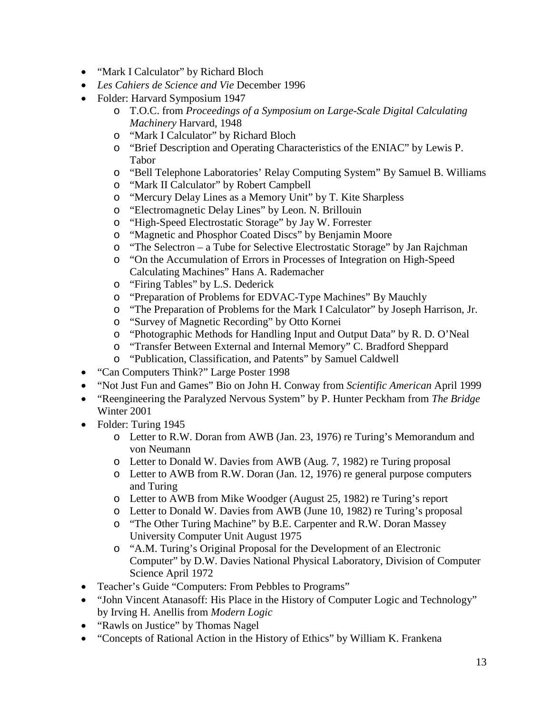- "Mark I Calculator" by Richard Bloch
- *Les Cahiers de Science and Vie* December 1996
- Folder: Harvard Symposium 1947
	- o T.O.C. from *Proceedings of a Symposium on Large-Scale Digital Calculating Machinery* Harvard, 1948
	- o "Mark I Calculator" by Richard Bloch
	- o "Brief Description and Operating Characteristics of the ENIAC" by Lewis P. Tabor
	- o "Bell Telephone Laboratories' Relay Computing System" By Samuel B. Williams
	- o "Mark II Calculator" by Robert Campbell
	- o "Mercury Delay Lines as a Memory Unit" by T. Kite Sharpless
	- o "Electromagnetic Delay Lines" by Leon. N. Brillouin<br>o "High-Speed Electrostatic Storage" by Jay W. Forrest
	- "High-Speed Electrostatic Storage" by Jay W. Forrester
	- o "Magnetic and Phosphor Coated Discs" by Benjamin Moore
	- o "The Selectron a Tube for Selective Electrostatic Storage" by Jan Rajchman
	- o "On the Accumulation of Errors in Processes of Integration on High-Speed Calculating Machines" Hans A. Rademacher
	- o "Firing Tables" by L.S. Dederick
	- o "Preparation of Problems for EDVAC-Type Machines" By Mauchly
	- o "The Preparation of Problems for the Mark I Calculator" by Joseph Harrison, Jr.
	- o "Survey of Magnetic Recording" by Otto Kornei
	- o "Photographic Methods for Handling Input and Output Data" by R. D. O'Neal
	- o "Transfer Between External and Internal Memory" C. Bradford Sheppard
	- o "Publication, Classification, and Patents" by Samuel Caldwell
- "Can Computers Think?" Large Poster 1998
- "Not Just Fun and Games" Bio on John H. Conway from *Scientific American* April 1999
- "Reengineering the Paralyzed Nervous System" by P. Hunter Peckham from *The Bridge* Winter 2001
- Folder: Turing 1945
	- o Letter to R.W. Doran from AWB (Jan. 23, 1976) re Turing's Memorandum and von Neumann
	- o Letter to Donald W. Davies from AWB (Aug. 7, 1982) re Turing proposal
	- o Letter to AWB from R.W. Doran (Jan. 12, 1976) re general purpose computers and Turing
	- o Letter to AWB from Mike Woodger (August 25, 1982) re Turing's report
	- o Letter to Donald W. Davies from AWB (June 10, 1982) re Turing's proposal
	- o "The Other Turing Machine" by B.E. Carpenter and R.W. Doran Massey University Computer Unit August 1975
	- o "A.M. Turing's Original Proposal for the Development of an Electronic Computer" by D.W. Davies National Physical Laboratory, Division of Computer Science April 1972
- Teacher's Guide "Computers: From Pebbles to Programs"
- "John Vincent Atanasoff: His Place in the History of Computer Logic and Technology" by Irving H. Anellis from *Modern Logic*
- "Rawls on Justice" by Thomas Nagel
- "Concepts of Rational Action in the History of Ethics" by William K. Frankena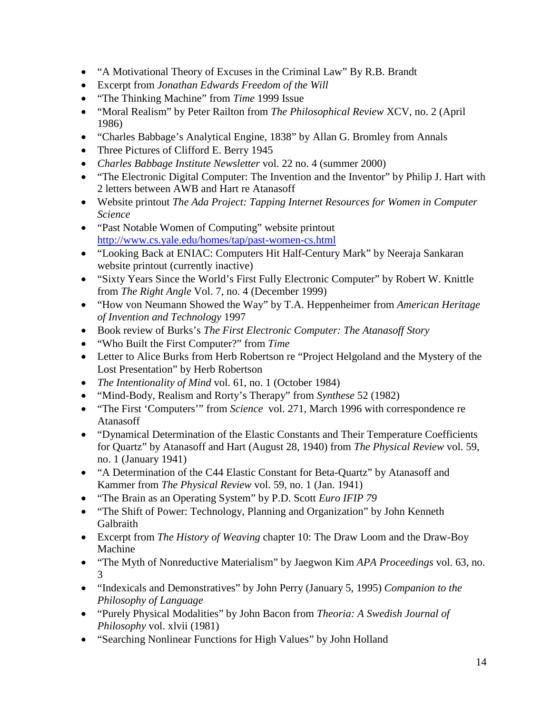- "A Motivational Theory of Excuses in the Criminal Law" By R.B. Brandt
- Excerpt from *Jonathan Edwards Freedom of the Will*
- "The Thinking Machine" from *Time* 1999 Issue
- "Moral Realism" by Peter Railton from *The Philosophical Review* XCV, no. 2 (April 1986)
- "Charles Babbage's Analytical Engine, 1838" by Allan G. Bromley from Annals
- Three Pictures of Clifford E. Berry 1945
- *Charles Babbage Institute Newsletter* vol. 22 no. 4 (summer 2000)
- "The Electronic Digital Computer: The Invention and the Inventor" by Philip J. Hart with 2 letters between AWB and Hart re Atanasoff
- Website printout *The Ada Project: Tapping Internet Resources for Women in Computer Science*
- "Past Notable Women of Computing" website printout <http://www.cs.yale.edu/homes/tap/past-women-cs.html>
- "Looking Back at ENIAC: Computers Hit Half-Century Mark" by Neeraja Sankaran website printout (currently inactive)
- "Sixty Years Since the World's First Fully Electronic Computer" by Robert W. Knittle from *The Right Angle* Vol. 7, no. 4 (December 1999)
- "How von Neumann Showed the Way" by T.A. Heppenheimer from *American Heritage of Invention and Technology* 1997
- Book review of Burks's *The First Electronic Computer: The Atanasoff Story*
- "Who Built the First Computer?" from *Time*
- Letter to Alice Burks from Herb Robertson re "Project Helgoland and the Mystery of the Lost Presentation" by Herb Robertson
- *The Intentionality of Mind* vol. 61, no. 1 (October 1984)
- "Mind-Body, Realism and Rorty's Therapy" from *Synthese* 52 (1982)
- "The First 'Computers'" from *Science* vol. 271, March 1996 with correspondence re Atanasoff
- "Dynamical Determination of the Elastic Constants and Their Temperature Coefficients for Quartz" by Atanasoff and Hart (August 28, 1940) from *The Physical Review* vol. 59, no. 1 (January 1941)
- "A Determination of the C44 Elastic Constant for Beta-Quartz" by Atanasoff and Kammer from *The Physical Review* vol. 59, no. 1 (Jan. 1941)
- "The Brain as an Operating System" by P.D. Scott *Euro IFIP 79*
- "The Shift of Power: Technology, Planning and Organization" by John Kenneth Galbraith
- Excerpt from *The History of Weaving* chapter 10: The Draw Loom and the Draw-Boy Machine
- "The Myth of Nonreductive Materialism" by Jaegwon Kim *APA Proceedings* vol. 63, no. 3
- "Indexicals and Demonstratives" by John Perry (January 5, 1995) *Companion to the Philosophy of Language*
- "Purely Physical Modalities" by John Bacon from *Theoria: A Swedish Journal of Philosophy* vol. xlvii (1981)
- "Searching Nonlinear Functions for High Values" by John Holland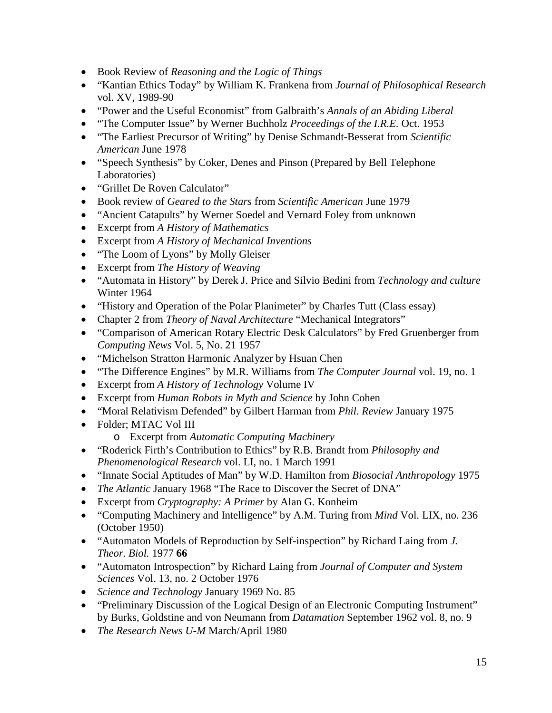- Book Review of *Reasoning and the Logic of Things*
- "Kantian Ethics Today" by William K. Frankena from *Journal of Philosophical Research* vol. XV, 1989-90
- "Power and the Useful Economist" from Galbraith's *Annals of an Abiding Liberal*
- "The Computer Issue" by Werner Buchholz *Proceedings of the I.R.E.* Oct. 1953
- "The Earliest Precursor of Writing" by Denise Schmandt-Besserat from *Scientific American* June 1978
- "Speech Synthesis" by Coker, Denes and Pinson (Prepared by Bell Telephone Laboratories)
- "Grillet De Roven Calculator"
- Book review of *Geared to the Stars* from *Scientific American* June 1979
- "Ancient Catapults" by Werner Soedel and Vernard Foley from unknown
- Excerpt from *A History of Mathematics*
- Excerpt from *A History of Mechanical Inventions*
- "The Loom of Lyons" by Molly Gleiser
- Excerpt from *The History of Weaving*
- "Automata in History" by Derek J. Price and Silvio Bedini from *Technology and culture* Winter 1964
- "History and Operation of the Polar Planimeter" by Charles Tutt (Class essay)
- Chapter 2 from *Theory of Naval Architecture* "Mechanical Integrators"
- "Comparison of American Rotary Electric Desk Calculators" by Fred Gruenberger from *Computing News* Vol. 5, No. 21 1957
- "Michelson Stratton Harmonic Analyzer by Hsuan Chen
- "The Difference Engines" by M.R. Williams from *The Computer Journal* vol. 19, no. 1
- Excerpt from *A History of Technology* Volume IV
- Excerpt from *Human Robots in Myth and Science* by John Cohen
- "Moral Relativism Defended" by Gilbert Harman from *Phil. Review* January 1975
- Folder; MTAC Vol III
	- o Excerpt from *Automatic Computing Machinery*
- "Roderick Firth's Contribution to Ethics" by R.B. Brandt from *Philosophy and Phenomenological Research* vol. LI, no. 1 March 1991
- "Innate Social Aptitudes of Man" by W.D. Hamilton from *Biosocial Anthropology* 1975
- *The Atlantic* January 1968 "The Race to Discover the Secret of DNA"
- Excerpt from *Cryptography: A Primer* by Alan G. Konheim
- "Computing Machinery and Intelligence" by A.M. Turing from *Mind* Vol. LIX, no. 236 (October 1950)
- "Automaton Models of Reproduction by Self-inspection" by Richard Laing from *J. Theor. Biol.* 1977 **66**
- "Automaton Introspection" by Richard Laing from *Journal of Computer and System Sciences* Vol. 13, no. 2 October 1976
- *Science and Technology* January 1969 No. 85
- "Preliminary Discussion of the Logical Design of an Electronic Computing Instrument" by Burks, Goldstine and von Neumann from *Datamation* September 1962 vol. 8, no. 9
- *The Research News U-M* March/April 1980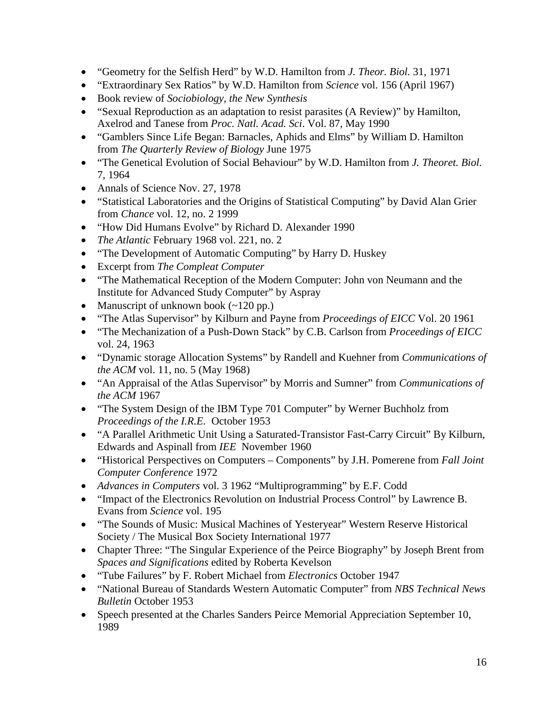- "Geometry for the Selfish Herd" by W.D. Hamilton from *J. Theor. Biol.* 31, 1971
- "Extraordinary Sex Ratios" by W.D. Hamilton from *Science* vol. 156 (April 1967)
- Book review of *Sociobiology, the New Synthesis*
- "Sexual Reproduction as an adaptation to resist parasites (A Review)" by Hamilton, Axelrod and Tanese from *Proc. Natl. Acad. Sci*. Vol. 87, May 1990
- "Gamblers Since Life Began: Barnacles, Aphids and Elms" by William D. Hamilton from *The Quarterly Review of Biology* June 1975
- "The Genetical Evolution of Social Behaviour" by W.D. Hamilton from *J. Theoret. Biol.*  7, 1964
- Annals of Science Nov. 27, 1978
- "Statistical Laboratories and the Origins of Statistical Computing" by David Alan Grier from *Chance* vol. 12, no. 2 1999
- "How Did Humans Evolve" by Richard D. Alexander 1990
- *The Atlantic* February 1968 vol. 221, no. 2
- "The Development of Automatic Computing" by Harry D. Huskey
- Excerpt from *The Compleat Computer*
- "The Mathematical Reception of the Modern Computer: John von Neumann and the Institute for Advanced Study Computer" by Aspray
- Manuscript of unknown book (~120 pp.)
- "The Atlas Supervisor" by Kilburn and Payne from *Proceedings of EICC* Vol. 20 1961
- "The Mechanization of a Push-Down Stack" by C.B. Carlson from *Proceedings of EICC* vol. 24, 1963
- "Dynamic storage Allocation Systems" by Randell and Kuehner from *Communications of the ACM* vol. 11, no. 5 (May 1968)
- "An Appraisal of the Atlas Supervisor" by Morris and Sumner" from *Communications of the ACM* 1967
- "The System Design of the IBM Type 701 Computer" by Werner Buchholz from *Proceedings of the I.R.E.* October 1953
- "A Parallel Arithmetic Unit Using a Saturated-Transistor Fast-Carry Circuit" By Kilburn, Edwards and Aspinall from *IEE* November 1960
- "Historical Perspectives on Computers Components" by J.H. Pomerene from *Fall Joint Computer Conference* 1972
- *Advances in Computers* vol. 3 1962 "Multiprogramming" by E.F. Codd
- "Impact of the Electronics Revolution on Industrial Process Control" by Lawrence B. Evans from *Science* vol. 195
- "The Sounds of Music: Musical Machines of Yesteryear" Western Reserve Historical Society / The Musical Box Society International 1977
- Chapter Three: "The Singular Experience of the Peirce Biography" by Joseph Brent from *Spaces and Significations* edited by Roberta Kevelson
- "Tube Failures" by F. Robert Michael from *Electronics* October 1947
- "National Bureau of Standards Western Automatic Computer" from *NBS Technical News Bulletin* October 1953
- Speech presented at the Charles Sanders Peirce Memorial Appreciation September 10, 1989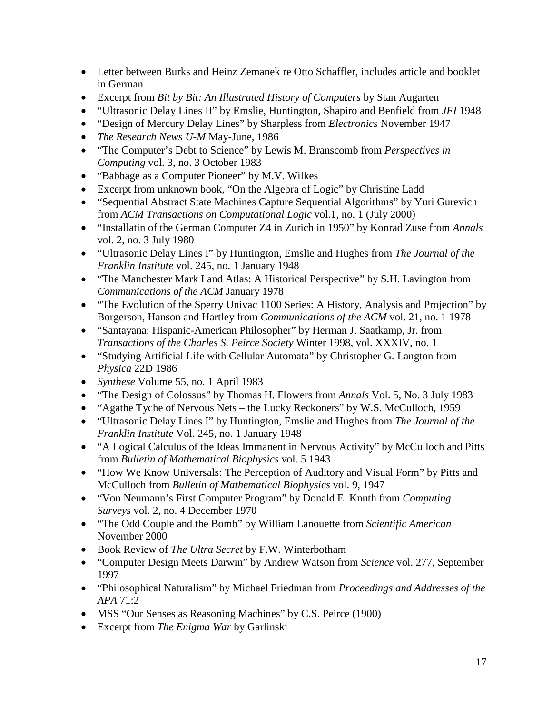- Letter between Burks and Heinz Zemanek re Otto Schaffler, includes article and booklet in German
- Excerpt from *Bit by Bit: An Illustrated History of Computers* by Stan Augarten
- "Ultrasonic Delay Lines II" by Emslie, Huntington, Shapiro and Benfield from *JFI* 1948
- "Design of Mercury Delay Lines" by Sharpless from *Electronics* November 1947
- *The Research News U-M* May-June, 1986
- "The Computer's Debt to Science" by Lewis M. Branscomb from *Perspectives in Computing* vol. 3, no. 3 October 1983
- "Babbage as a Computer Pioneer" by M.V. Wilkes
- Excerpt from unknown book, "On the Algebra of Logic" by Christine Ladd
- "Sequential Abstract State Machines Capture Sequential Algorithms" by Yuri Gurevich from *ACM Transactions on Computational Logic* vol.1, no. 1 (July 2000)
- "Installatin of the German Computer Z4 in Zurich in 1950" by Konrad Zuse from *Annals* vol. 2, no. 3 July 1980
- "Ultrasonic Delay Lines I" by Huntington, Emslie and Hughes from *The Journal of the Franklin Institute* vol. 245, no. 1 January 1948
- "The Manchester Mark I and Atlas: A Historical Perspective" by S.H. Lavington from *Communications of the ACM* January 1978
- "The Evolution of the Sperry Univac 1100 Series: A History, Analysis and Projection" by Borgerson, Hanson and Hartley from *Communications of the ACM* vol. 21, no. 1 1978
- "Santayana: Hispanic-American Philosopher" by Herman J. Saatkamp, Jr. from *Transactions of the Charles S. Peirce Society* Winter 1998, vol. XXXIV, no. 1
- "Studying Artificial Life with Cellular Automata" by Christopher G. Langton from *Physica* 22D 1986
- *Synthese* Volume 55, no. 1 April 1983
- "The Design of Colossus" by Thomas H. Flowers from *Annals* Vol. 5, No. 3 July 1983
- "Agathe Tyche of Nervous Nets the Lucky Reckoners" by W.S. McCulloch, 1959
- "Ultrasonic Delay Lines I" by Huntington, Emslie and Hughes from *The Journal of the Franklin Institute* Vol. 245, no. 1 January 1948
- "A Logical Calculus of the Ideas Immanent in Nervous Activity" by McCulloch and Pitts from *Bulletin of Mathematical Biophysics* vol. 5 1943
- "How We Know Universals: The Perception of Auditory and Visual Form" by Pitts and McCulloch from *Bulletin of Mathematical Biophysics* vol. 9, 1947
- "Von Neumann's First Computer Program" by Donald E. Knuth from *Computing Surveys* vol. 2, no. 4 December 1970
- "The Odd Couple and the Bomb" by William Lanouette from *Scientific American* November 2000
- Book Review of *The Ultra Secret* by F.W. Winterbotham
- "Computer Design Meets Darwin" by Andrew Watson from *Science* vol. 277, September 1997
- "Philosophical Naturalism" by Michael Friedman from *Proceedings and Addresses of the APA* 71:2
- MSS "Our Senses as Reasoning Machines" by C.S. Peirce (1900)
- Excerpt from *The Enigma War* by Garlinski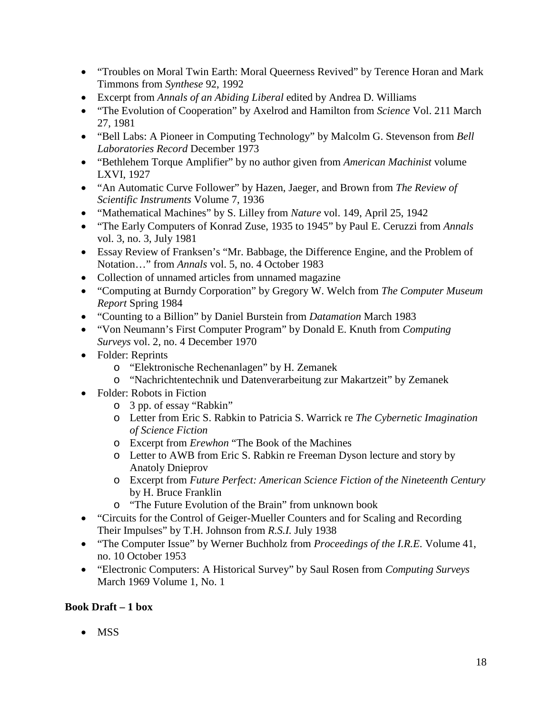- "Troubles on Moral Twin Earth: Moral Queerness Revived" by Terence Horan and Mark Timmons from *Synthese* 92, 1992
- Excerpt from *Annals of an Abiding Liberal* edited by Andrea D. Williams
- "The Evolution of Cooperation" by Axelrod and Hamilton from *Science* Vol. 211 March 27, 1981
- "Bell Labs: A Pioneer in Computing Technology" by Malcolm G. Stevenson from *Bell Laboratories Record* December 1973
- "Bethlehem Torque Amplifier" by no author given from *American Machinist* volume LXVI, 1927
- "An Automatic Curve Follower" by Hazen, Jaeger, and Brown from *The Review of Scientific Instruments* Volume 7, 1936
- "Mathematical Machines" by S. Lilley from *Nature* vol. 149, April 25, 1942
- "The Early Computers of Konrad Zuse, 1935 to 1945" by Paul E. Ceruzzi from *Annals* vol. 3, no. 3, July 1981
- Essay Review of Franksen's "Mr. Babbage, the Difference Engine, and the Problem of Notation…" from *Annals* vol. 5, no. 4 October 1983
- Collection of unnamed articles from unnamed magazine
- "Computing at Burndy Corporation" by Gregory W. Welch from *The Computer Museum Report* Spring 1984
- "Counting to a Billion" by Daniel Burstein from *Datamation* March 1983
- "Von Neumann's First Computer Program" by Donald E. Knuth from *Computing Surveys* vol. 2, no. 4 December 1970
- Folder: Reprints
	- o "Elektronische Rechenanlagen" by H. Zemanek
	- o "Nachrichtentechnik und Datenverarbeitung zur Makartzeit" by Zemanek
- Folder: Robots in Fiction
	- o 3 pp. of essay "Rabkin"
	- o Letter from Eric S. Rabkin to Patricia S. Warrick re *The Cybernetic Imagination of Science Fiction*
	- o Excerpt from *Erewhon* "The Book of the Machines
	- o Letter to AWB from Eric S. Rabkin re Freeman Dyson lecture and story by Anatoly Dnieprov
	- o Excerpt from *Future Perfect: American Science Fiction of the Nineteenth Century* by H. Bruce Franklin
	- o "The Future Evolution of the Brain" from unknown book
- "Circuits for the Control of Geiger-Mueller Counters and for Scaling and Recording Their Impulses" by T.H. Johnson from *R.S.I.* July 1938
- "The Computer Issue" by Werner Buchholz from *Proceedings of the I.R.E.* Volume 41, no. 10 October 1953
- "Electronic Computers: A Historical Survey" by Saul Rosen from *Computing Surveys* March 1969 Volume 1, No. 1

# **Book Draft – 1 box**

• MSS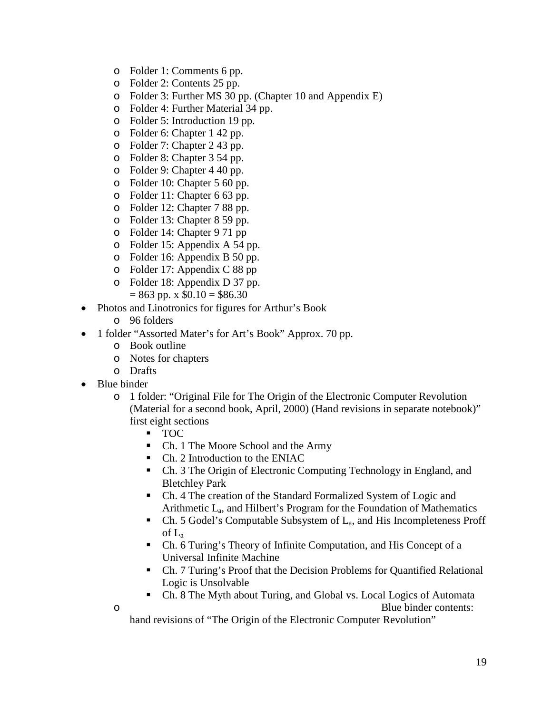- o Folder 1: Comments 6 pp.
- o Folder 2: Contents 25 pp.
- o Folder 3: Further MS 30 pp. (Chapter 10 and Appendix E)
- o Folder 4: Further Material 34 pp.
- o Folder 5: Introduction 19 pp.
- o Folder 6: Chapter 1 42 pp.
- o Folder 7: Chapter 2 43 pp.
- o Folder 8: Chapter 3 54 pp.
- o Folder 9: Chapter 4 40 pp.
- o Folder 10: Chapter 5 60 pp.
- o Folder 11: Chapter 6 63 pp.
- o Folder 12: Chapter 7 88 pp.
- o Folder 13: Chapter 8 59 pp.
- o Folder 14: Chapter 9 71 pp
- o Folder 15: Appendix A 54 pp.
- o Folder 16: Appendix B 50 pp.
- o Folder 17: Appendix C 88 pp
- o Folder 18: Appendix D 37 pp.  $= 863$  pp. x  $$0.10 = $86.30$
- Photos and Linotronics for figures for Arthur's Book
	- o 96 folders
- 1 folder "Assorted Mater's for Art's Book" Approx. 70 pp.
	- o Book outline
	- o Notes for chapters
	- o Drafts
- Blue binder
	- o 1 folder: "Original File for The Origin of the Electronic Computer Revolution (Material for a second book, April, 2000) (Hand revisions in separate notebook)" first eight sections
		- TOC
		- Ch. 1 The Moore School and the Army
		- Ch. 2 Introduction to the ENIAC
		- Ch. 3 The Origin of Electronic Computing Technology in England, and Bletchley Park
		- Ch. 4 The creation of the Standard Formalized System of Logic and Arithmetic  $L_a$ , and Hilbert's Program for the Foundation of Mathematics
		- Ch. 5 Godel's Computable Subsystem of  $L_a$ , and His Incompleteness Proff of La
		- Ch. 6 Turing's Theory of Infinite Computation, and His Concept of a Universal Infinite Machine
		- Ch. 7 Turing's Proof that the Decision Problems for Quantified Relational Logic is Unsolvable
	- Ch. 8 The Myth about Turing, and Global vs. Local Logics of Automata o Blue binder contents:

hand revisions of "The Origin of the Electronic Computer Revolution"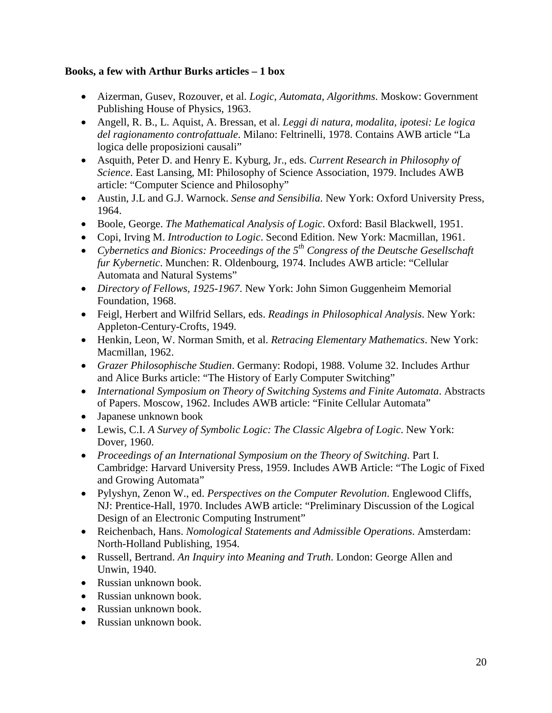#### **Books, a few with Arthur Burks articles – 1 box**

- Aizerman, Gusev, Rozouver, et al. *Logic, Automata, Algorithms*. Moskow: Government Publishing House of Physics, 1963.
- Angell, R. B., L. Aquist, A. Bressan, et al. *Leggi di natura, modalita, ipotesi: Le logica del ragionamento controfattuale*. Milano: Feltrinelli, 1978. Contains AWB article "La logica delle proposizioni causali"
- Asquith, Peter D. and Henry E. Kyburg, Jr., eds. *Current Research in Philosophy of Science*. East Lansing, MI: Philosophy of Science Association, 1979. Includes AWB article: "Computer Science and Philosophy"
- Austin, J.L and G.J. Warnock. *Sense and Sensibilia*. New York: Oxford University Press, 1964.
- Boole, George. *The Mathematical Analysis of Logic*. Oxford: Basil Blackwell, 1951.
- Copi, Irving M. *Introduction to Logic*. Second Edition. New York: Macmillan, 1961.
- *Cybernetics and Bionics: Proceedings of the 5th Congress of the Deutsche Gesellschaft fur Kybernetic*. Munchen: R. Oldenbourg, 1974. Includes AWB article: "Cellular Automata and Natural Systems"
- *Directory of Fellows, 1925-1967*. New York: John Simon Guggenheim Memorial Foundation, 1968.
- Feigl, Herbert and Wilfrid Sellars, eds. *Readings in Philosophical Analysis*. New York: Appleton-Century-Crofts, 1949.
- Henkin, Leon, W. Norman Smith, et al. *Retracing Elementary Mathematics*. New York: Macmillan, 1962.
- *Grazer Philosophische Studien*. Germany: Rodopi, 1988. Volume 32. Includes Arthur and Alice Burks article: "The History of Early Computer Switching"
- *International Symposium on Theory of Switching Systems and Finite Automata*. Abstracts of Papers. Moscow, 1962. Includes AWB article: "Finite Cellular Automata"
- Japanese unknown book
- Lewis, C.I. *A Survey of Symbolic Logic: The Classic Algebra of Logic*. New York: Dover, 1960.
- *Proceedings of an International Symposium on the Theory of Switching*. Part I. Cambridge: Harvard University Press, 1959. Includes AWB Article: "The Logic of Fixed and Growing Automata"
- Pylyshyn, Zenon W., ed. *Perspectives on the Computer Revolution*. Englewood Cliffs, NJ: Prentice-Hall, 1970. Includes AWB article: "Preliminary Discussion of the Logical Design of an Electronic Computing Instrument"
- Reichenbach, Hans. *Nomological Statements and Admissible Operations*. Amsterdam: North-Holland Publishing, 1954.
- Russell, Bertrand. *An Inquiry into Meaning and Truth*. London: George Allen and Unwin, 1940.
- Russian unknown book.
- Russian unknown book.
- Russian unknown book.
- Russian unknown book.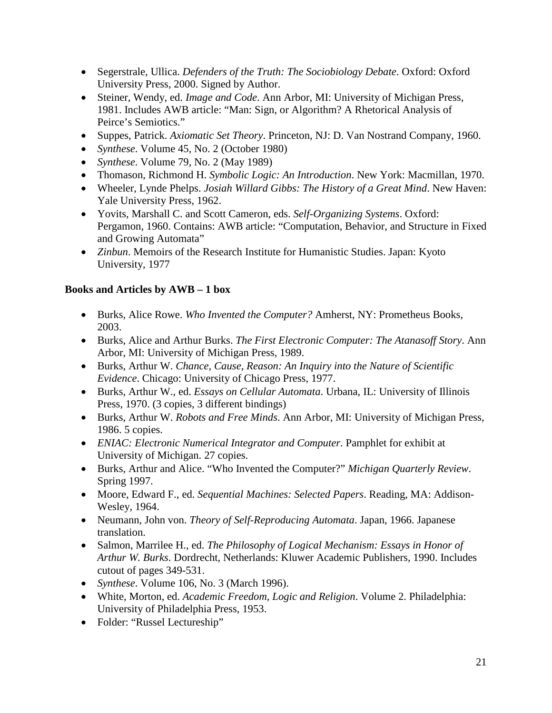- Segerstrale, Ullica. *Defenders of the Truth: The Sociobiology Debate*. Oxford: Oxford University Press, 2000. Signed by Author.
- Steiner, Wendy, ed. *Image and Code*. Ann Arbor, MI: University of Michigan Press, 1981. Includes AWB article: "Man: Sign, or Algorithm? A Rhetorical Analysis of Peirce's Semiotics."
- Suppes, Patrick. *Axiomatic Set Theory*. Princeton, NJ: D. Van Nostrand Company, 1960.
- *Synthese*. Volume 45, No. 2 (October 1980)
- *Synthese*. Volume 79, No. 2 (May 1989)
- Thomason, Richmond H. *Symbolic Logic: An Introduction*. New York: Macmillan, 1970.
- Wheeler, Lynde Phelps. *Josiah Willard Gibbs: The History of a Great Mind*. New Haven: Yale University Press, 1962.
- Yovits, Marshall C. and Scott Cameron, eds. *Self-Organizing Systems*. Oxford: Pergamon, 1960. Contains: AWB article: "Computation, Behavior, and Structure in Fixed and Growing Automata"
- *Zinbun*. Memoirs of the Research Institute for Humanistic Studies. Japan: Kyoto University, 1977

## **Books and Articles by AWB – 1 box**

- Burks, Alice Rowe. *Who Invented the Computer?* Amherst, NY: Prometheus Books, 2003.
- Burks, Alice and Arthur Burks. *The First Electronic Computer: The Atanasoff Story*. Ann Arbor, MI: University of Michigan Press, 1989.
- Burks, Arthur W. *Chance, Cause, Reason: An Inquiry into the Nature of Scientific Evidence*. Chicago: University of Chicago Press, 1977.
- Burks, Arthur W., ed. *Essays on Cellular Automata*. Urbana, IL: University of Illinois Press, 1970. (3 copies, 3 different bindings)
- Burks, Arthur W. *Robots and Free Minds*. Ann Arbor, MI: University of Michigan Press, 1986. 5 copies.
- *ENIAC: Electronic Numerical Integrator and Computer*. Pamphlet for exhibit at University of Michigan. 27 copies.
- Burks, Arthur and Alice. "Who Invented the Computer?" *Michigan Quarterly Review*. Spring 1997.
- Moore, Edward F., ed. *Sequential Machines: Selected Papers*. Reading, MA: Addison-Wesley, 1964.
- Neumann, John von. *Theory of Self-Reproducing Automata*. Japan, 1966. Japanese translation.
- Salmon, Marrilee H., ed. *The Philosophy of Logical Mechanism: Essays in Honor of Arthur W. Burks*. Dordrecht, Netherlands: Kluwer Academic Publishers, 1990. Includes cutout of pages 349-531.
- *Synthese*. Volume 106, No. 3 (March 1996).
- White, Morton, ed. *Academic Freedom, Logic and Religion*. Volume 2. Philadelphia: University of Philadelphia Press, 1953.
- Folder: "Russel Lectureship"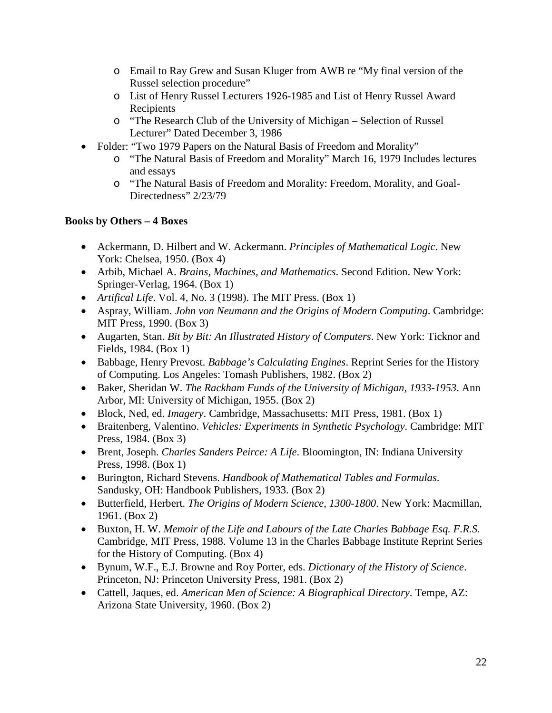- o Email to Ray Grew and Susan Kluger from AWB re "My final version of the Russel selection procedure"
- o List of Henry Russel Lecturers 1926-1985 and List of Henry Russel Award Recipients
- o "The Research Club of the University of Michigan Selection of Russel Lecturer" Dated December 3, 1986
- Folder: "Two 1979 Papers on the Natural Basis of Freedom and Morality"
	- o "The Natural Basis of Freedom and Morality" March 16, 1979 Includes lectures and essays
	- o "The Natural Basis of Freedom and Morality: Freedom, Morality, and Goal-Directedness" 2/23/79

## **Books by Others – 4 Boxes**

- Ackermann, D. Hilbert and W. Ackermann. *Principles of Mathematical Logic*. New York: Chelsea, 1950. (Box 4)
- Arbib, Michael A. *Brains, Machines, and Mathematics*. Second Edition. New York: Springer-Verlag, 1964. (Box 1)
- *Artifical Life*. Vol. 4, No. 3 (1998). The MIT Press. (Box 1)
- Aspray, William. *John von Neumann and the Origins of Modern Computing*. Cambridge: MIT Press, 1990. (Box 3)
- Augarten, Stan. *Bit by Bit: An Illustrated History of Computers*. New York: Ticknor and Fields, 1984. (Box 1)
- Babbage, Henry Prevost. *Babbage's Calculating Engines*. Reprint Series for the History of Computing. Los Angeles: Tomash Publishers, 1982. (Box 2)
- Baker, Sheridan W. *The Rackham Funds of the University of Michigan, 1933-1953*. Ann Arbor, MI: University of Michigan, 1955. (Box 2)
- Block, Ned, ed. *Imagery*. Cambridge, Massachusetts: MIT Press, 1981. (Box 1)
- Braitenberg, Valentino. *Vehicles: Experiments in Synthetic Psychology*. Cambridge: MIT Press, 1984. (Box 3)
- Brent, Joseph. *Charles Sanders Peirce: A Life*. Bloomington, IN: Indiana University Press, 1998. (Box 1)
- Burington, Richard Stevens. *Handbook of Mathematical Tables and Formulas*. Sandusky, OH: Handbook Publishers, 1933. (Box 2)
- Butterfield, Herbert. *The Origins of Modern Science, 1300-1800*. New York: Macmillan, 1961. (Box 2)
- Buxton, H. W. *Memoir of the Life and Labours of the Late Charles Babbage Esq. F.R.S.* Cambridge, MIT Press, 1988. Volume 13 in the Charles Babbage Institute Reprint Series for the History of Computing. (Box 4)
- Bynum, W.F., E.J. Browne and Roy Porter, eds. *Dictionary of the History of Science*. Princeton, NJ: Princeton University Press, 1981. (Box 2)
- Cattell, Jaques, ed. *American Men of Science: A Biographical Directory*. Tempe, AZ: Arizona State University, 1960. (Box 2)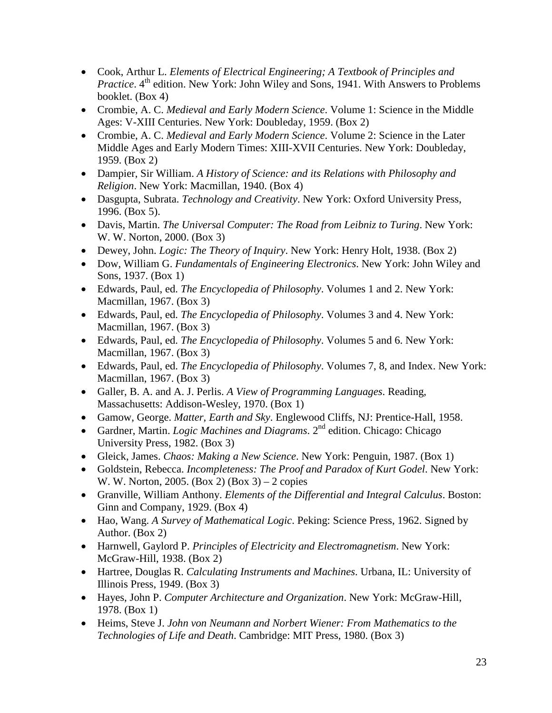- Cook, Arthur L. *Elements of Electrical Engineering; A Textbook of Principles and Practice*. 4<sup>th</sup> edition. New York: John Wiley and Sons, 1941. With Answers to Problems booklet. (Box 4)
- Crombie, A. C. *Medieval and Early Modern Science*. Volume 1: Science in the Middle Ages: V-XIII Centuries. New York: Doubleday, 1959. (Box 2)
- Crombie, A. C. *Medieval and Early Modern Science*. Volume 2: Science in the Later Middle Ages and Early Modern Times: XIII-XVII Centuries. New York: Doubleday, 1959. (Box 2)
- Dampier, Sir William. *A History of Science: and its Relations with Philosophy and Religion*. New York: Macmillan, 1940. (Box 4)
- Dasgupta, Subrata. *Technology and Creativity*. New York: Oxford University Press, 1996. (Box 5).
- Davis, Martin. *The Universal Computer: The Road from Leibniz to Turing*. New York: W. W. Norton, 2000. (Box 3)
- Dewey, John. *Logic: The Theory of Inquiry*. New York: Henry Holt, 1938. (Box 2)
- Dow, William G. *Fundamentals of Engineering Electronics*. New York: John Wiley and Sons, 1937. (Box 1)
- Edwards, Paul, ed. *The Encyclopedia of Philosophy*. Volumes 1 and 2. New York: Macmillan, 1967. (Box 3)
- Edwards, Paul, ed. *The Encyclopedia of Philosophy*. Volumes 3 and 4. New York: Macmillan, 1967. (Box 3)
- Edwards, Paul, ed. *The Encyclopedia of Philosophy*. Volumes 5 and 6. New York: Macmillan, 1967. (Box 3)
- Edwards, Paul, ed. *The Encyclopedia of Philosophy*. Volumes 7, 8, and Index. New York: Macmillan, 1967. (Box 3)
- Galler, B. A. and A. J. Perlis. *A View of Programming Languages*. Reading, Massachusetts: Addison-Wesley, 1970. (Box 1)
- Gamow, George. *Matter, Earth and Sky*. Englewood Cliffs, NJ: Prentice-Hall, 1958.
- Gardner, Martin. *Logic Machines and Diagrams*. 2<sup>nd</sup> edition. Chicago: Chicago University Press, 1982. (Box 3)
- Gleick, James. *Chaos: Making a New Science*. New York: Penguin, 1987. (Box 1)
- Goldstein, Rebecca. *Incompleteness: The Proof and Paradox of Kurt Godel*. New York: W. W. Norton, 2005. (Box 2) (Box 3) – 2 copies
- Granville, William Anthony. *Elements of the Differential and Integral Calculus*. Boston: Ginn and Company, 1929. (Box 4)
- Hao, Wang. *A Survey of Mathematical Logic*. Peking: Science Press, 1962. Signed by Author. (Box 2)
- Harnwell, Gaylord P. *Principles of Electricity and Electromagnetism*. New York: McGraw-Hill, 1938. (Box 2)
- Hartree, Douglas R. *Calculating Instruments and Machines*. Urbana, IL: University of Illinois Press, 1949. (Box 3)
- Hayes, John P. *Computer Architecture and Organization*. New York: McGraw-Hill, 1978. (Box 1)
- Heims, Steve J. *John von Neumann and Norbert Wiener: From Mathematics to the Technologies of Life and Death*. Cambridge: MIT Press, 1980. (Box 3)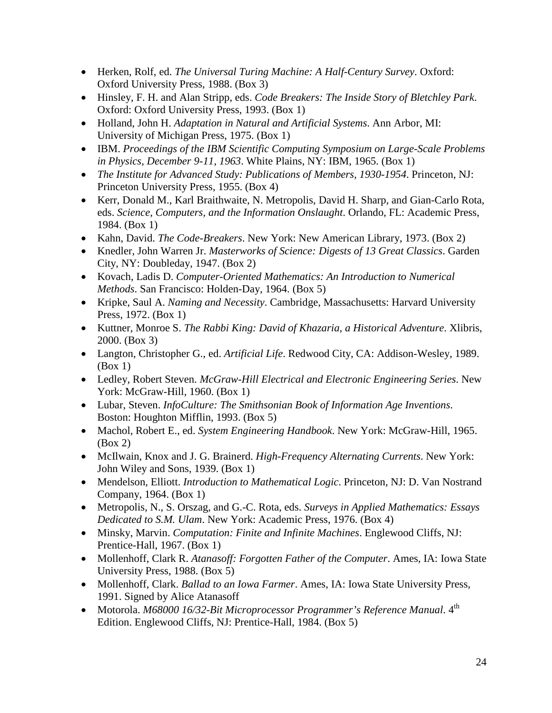- Herken, Rolf, ed. *The Universal Turing Machine: A Half-Century Survey*. Oxford: Oxford University Press, 1988. (Box 3)
- Hinsley, F. H. and Alan Stripp, eds. *Code Breakers: The Inside Story of Bletchley Park*. Oxford: Oxford University Press, 1993. (Box 1)
- Holland, John H. *Adaptation in Natural and Artificial Systems*. Ann Arbor, MI: University of Michigan Press, 1975. (Box 1)
- IBM. *Proceedings of the IBM Scientific Computing Symposium on Large-Scale Problems in Physics, December 9-11, 1963*. White Plains, NY: IBM, 1965. (Box 1)
- *The Institute for Advanced Study: Publications of Members, 1930-1954*. Princeton, NJ: Princeton University Press, 1955. (Box 4)
- Kerr, Donald M., Karl Braithwaite, N. Metropolis, David H. Sharp, and Gian-Carlo Rota, eds. *Science, Computers, and the Information Onslaught*. Orlando, FL: Academic Press, 1984. (Box 1)
- Kahn, David. *The Code-Breakers*. New York: New American Library, 1973. (Box 2)
- Knedler, John Warren Jr. *Masterworks of Science: Digests of 13 Great Classics*. Garden City, NY: Doubleday, 1947. (Box 2)
- Kovach, Ladis D. *Computer-Oriented Mathematics: An Introduction to Numerical Methods*. San Francisco: Holden-Day, 1964. (Box 5)
- Kripke, Saul A. *Naming and Necessity*. Cambridge, Massachusetts: Harvard University Press, 1972. (Box 1)
- Kuttner, Monroe S. *The Rabbi King: David of Khazaria, a Historical Adventure*. Xlibris, 2000. (Box 3)
- Langton, Christopher G., ed. *Artificial Life*. Redwood City, CA: Addison-Wesley, 1989. (Box 1)
- Ledley, Robert Steven. *McGraw-Hill Electrical and Electronic Engineering Series*. New York: McGraw-Hill, 1960. (Box 1)
- Lubar, Steven. *InfoCulture: The Smithsonian Book of Information Age Inventions*. Boston: Houghton Mifflin, 1993. (Box 5)
- Machol, Robert E., ed. *System Engineering Handbook*. New York: McGraw-Hill, 1965. (Box 2)
- McIlwain, Knox and J. G. Brainerd. *High-Frequency Alternating Currents*. New York: John Wiley and Sons, 1939. (Box 1)
- Mendelson, Elliott. *Introduction to Mathematical Logic*. Princeton, NJ: D. Van Nostrand Company, 1964. (Box 1)
- Metropolis, N., S. Orszag, and G.-C. Rota, eds. *Surveys in Applied Mathematics: Essays Dedicated to S.M. Ulam*. New York: Academic Press, 1976. (Box 4)
- Minsky, Marvin. *Computation: Finite and Infinite Machines*. Englewood Cliffs, NJ: Prentice-Hall, 1967. (Box 1)
- Mollenhoff, Clark R. *Atanasoff: Forgotten Father of the Computer*. Ames, IA: Iowa State University Press, 1988. (Box 5)
- Mollenhoff, Clark. *Ballad to an Iowa Farmer*. Ames, IA: Iowa State University Press, 1991. Signed by Alice Atanasoff
- Motorola. *M68000 16/32-Bit Microprocessor Programmer's Reference Manual*. 4<sup>th</sup> Edition. Englewood Cliffs, NJ: Prentice-Hall, 1984. (Box 5)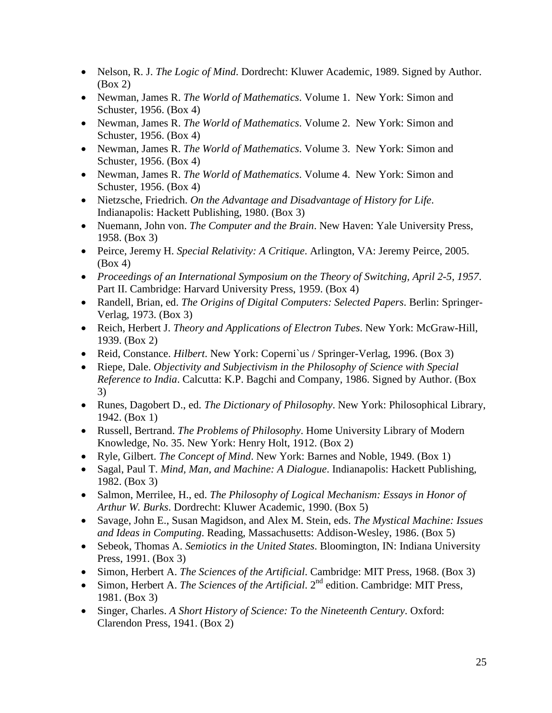- Nelson, R. J. *The Logic of Mind*. Dordrecht: Kluwer Academic, 1989. Signed by Author. (Box 2)
- Newman, James R. *The World of Mathematics*. Volume 1. New York: Simon and Schuster, 1956. (Box 4)
- Newman, James R. *The World of Mathematics*. Volume 2. New York: Simon and Schuster, 1956. (Box 4)
- Newman, James R. *The World of Mathematics*. Volume 3. New York: Simon and Schuster, 1956. (Box 4)
- Newman, James R. *The World of Mathematics*. Volume 4. New York: Simon and Schuster, 1956. (Box 4)
- Nietzsche, Friedrich. *On the Advantage and Disadvantage of History for Life*. Indianapolis: Hackett Publishing, 1980. (Box 3)
- Nuemann, John von. *The Computer and the Brain*. New Haven: Yale University Press, 1958. (Box 3)
- Peirce, Jeremy H. *Special Relativity: A Critique*. Arlington, VA: Jeremy Peirce, 2005. (Box 4)
- *Proceedings of an International Symposium on the Theory of Switching, April 2-5, 1957*. Part II. Cambridge: Harvard University Press, 1959. (Box 4)
- Randell, Brian, ed. *The Origins of Digital Computers: Selected Papers*. Berlin: Springer-Verlag, 1973. (Box 3)
- Reich, Herbert J. *Theory and Applications of Electron Tubes*. New York: McGraw-Hill, 1939. (Box 2)
- Reid, Constance. *Hilbert*. New York: Coperni`us / Springer-Verlag, 1996. (Box 3)
- Riepe, Dale. *Objectivity and Subjectivism in the Philosophy of Science with Special Reference to India*. Calcutta: K.P. Bagchi and Company, 1986. Signed by Author. (Box 3)
- Runes, Dagobert D., ed. *The Dictionary of Philosophy*. New York: Philosophical Library, 1942. (Box 1)
- Russell, Bertrand. *The Problems of Philosophy*. Home University Library of Modern Knowledge, No. 35. New York: Henry Holt, 1912. (Box 2)
- Ryle, Gilbert. *The Concept of Mind*. New York: Barnes and Noble, 1949. (Box 1)
- Sagal, Paul T. *Mind, Man, and Machine: A Dialogue*. Indianapolis: Hackett Publishing, 1982. (Box 3)
- Salmon, Merrilee, H., ed. *The Philosophy of Logical Mechanism: Essays in Honor of Arthur W. Burks*. Dordrecht: Kluwer Academic, 1990. (Box 5)
- Savage, John E., Susan Magidson, and Alex M. Stein, eds. *The Mystical Machine: Issues and Ideas in Computing*. Reading, Massachusetts: Addison-Wesley, 1986. (Box 5)
- Sebeok, Thomas A. *Semiotics in the United States*. Bloomington, IN: Indiana University Press, 1991. (Box 3)
- Simon, Herbert A. *The Sciences of the Artificial*. Cambridge: MIT Press, 1968. (Box 3)
- Simon, Herbert A. *The Sciences of the Artificial*. 2<sup>nd</sup> edition. Cambridge: MIT Press, 1981. (Box 3)
- Singer, Charles. *A Short History of Science: To the Nineteenth Century*. Oxford: Clarendon Press, 1941. (Box 2)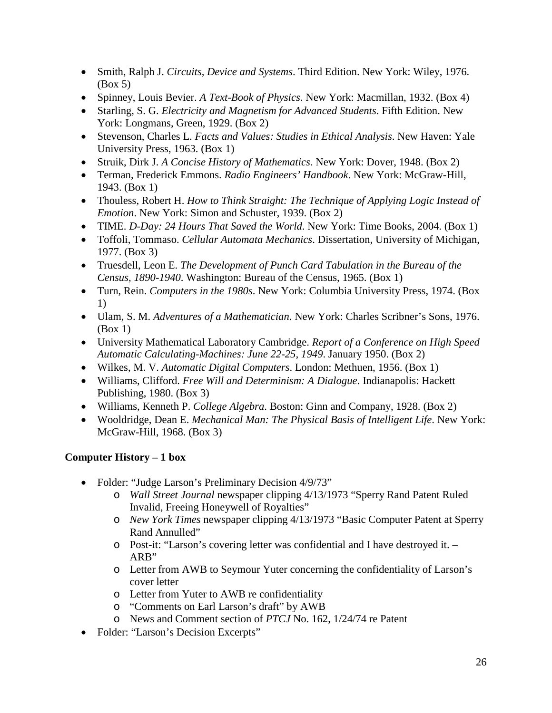- Smith, Ralph J. *Circuits, Device and Systems*. Third Edition. New York: Wiley, 1976. (Box 5)
- Spinney, Louis Bevier. *A Text-Book of Physics*. New York: Macmillan, 1932. (Box 4)
- Starling, S. G. *Electricity and Magnetism for Advanced Students*. Fifth Edition. New York: Longmans, Green, 1929. (Box 2)
- Stevenson, Charles L. *Facts and Values: Studies in Ethical Analysis*. New Haven: Yale University Press, 1963. (Box 1)
- Struik, Dirk J. *A Concise History of Mathematics*. New York: Dover, 1948. (Box 2)
- Terman, Frederick Emmons. *Radio Engineers' Handbook*. New York: McGraw-Hill, 1943. (Box 1)
- Thouless, Robert H. *How to Think Straight: The Technique of Applying Logic Instead of Emotion*. New York: Simon and Schuster, 1939. (Box 2)
- TIME. *D-Day: 24 Hours That Saved the World*. New York: Time Books, 2004. (Box 1)
- Toffoli, Tommaso. *Cellular Automata Mechanics*. Dissertation, University of Michigan, 1977. (Box 3)
- Truesdell, Leon E. *The Development of Punch Card Tabulation in the Bureau of the Census, 1890-1940*. Washington: Bureau of the Census, 1965. (Box 1)
- Turn, Rein. *Computers in the 1980s*. New York: Columbia University Press, 1974. (Box 1)
- Ulam, S. M. *Adventures of a Mathematician*. New York: Charles Scribner's Sons, 1976. (Box 1)
- University Mathematical Laboratory Cambridge. *Report of a Conference on High Speed Automatic Calculating-Machines: June 22-25, 1949*. January 1950. (Box 2)
- Wilkes, M. V. *Automatic Digital Computers*. London: Methuen, 1956. (Box 1)
- Williams, Clifford. *Free Will and Determinism: A Dialogue*. Indianapolis: Hackett Publishing, 1980. (Box 3)
- Williams, Kenneth P. *College Algebra*. Boston: Ginn and Company, 1928. (Box 2)
- Wooldridge, Dean E. *Mechanical Man: The Physical Basis of Intelligent Life*. New York: McGraw-Hill, 1968. (Box 3)

# **Computer History – 1 box**

- Folder: "Judge Larson's Preliminary Decision 4/9/73"
	- o *Wall Street Journal* newspaper clipping 4/13/1973 "Sperry Rand Patent Ruled Invalid, Freeing Honeywell of Royalties"
	- o *New York Times* newspaper clipping 4/13/1973 "Basic Computer Patent at Sperry Rand Annulled"
	- o Post-it: "Larson's covering letter was confidential and I have destroyed it. ARB"
	- o Letter from AWB to Seymour Yuter concerning the confidentiality of Larson's cover letter
	- o Letter from Yuter to AWB re confidentiality
	- o "Comments on Earl Larson's draft" by AWB
	- o News and Comment section of *PTCJ* No. 162, 1/24/74 re Patent
- Folder: "Larson's Decision Excerpts"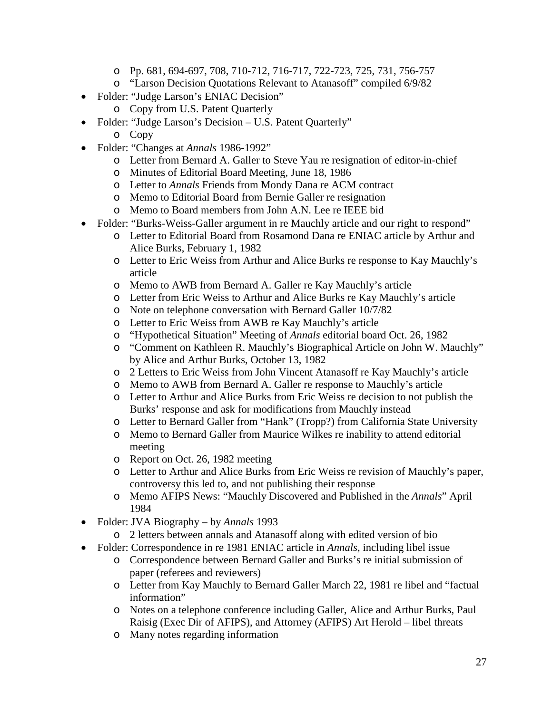- o Pp. 681, 694-697, 708, 710-712, 716-717, 722-723, 725, 731, 756-757
- o "Larson Decision Quotations Relevant to Atanasoff" compiled 6/9/82
- Folder: "Judge Larson's ENIAC Decision"
	- o Copy from U.S. Patent Quarterly
- Folder: "Judge Larson's Decision U.S. Patent Quarterly"
	- o Copy
- Folder: "Changes at *Annals* 1986-1992"
	- o Letter from Bernard A. Galler to Steve Yau re resignation of editor-in-chief
	- o Minutes of Editorial Board Meeting, June 18, 1986
	- o Letter to *Annals* Friends from Mondy Dana re ACM contract
	- o Memo to Editorial Board from Bernie Galler re resignation
	- o Memo to Board members from John A.N. Lee re IEEE bid
- Folder: "Burks-Weiss-Galler argument in re Mauchly article and our right to respond"
	- o Letter to Editorial Board from Rosamond Dana re ENIAC article by Arthur and Alice Burks, February 1, 1982
	- o Letter to Eric Weiss from Arthur and Alice Burks re response to Kay Mauchly's article
	- o Memo to AWB from Bernard A. Galler re Kay Mauchly's article
	- o Letter from Eric Weiss to Arthur and Alice Burks re Kay Mauchly's article
	- o Note on telephone conversation with Bernard Galler 10/7/82
	- o Letter to Eric Weiss from AWB re Kay Mauchly's article
	- o "Hypothetical Situation" Meeting of *Annals* editorial board Oct. 26, 1982
	- o "Comment on Kathleen R. Mauchly's Biographical Article on John W. Mauchly" by Alice and Arthur Burks, October 13, 1982
	- o 2 Letters to Eric Weiss from John Vincent Atanasoff re Kay Mauchly's article
	- o Memo to AWB from Bernard A. Galler re response to Mauchly's article
	- o Letter to Arthur and Alice Burks from Eric Weiss re decision to not publish the Burks' response and ask for modifications from Mauchly instead
	- o Letter to Bernard Galler from "Hank" (Tropp?) from California State University
	- o Memo to Bernard Galler from Maurice Wilkes re inability to attend editorial meeting
	- o Report on Oct. 26, 1982 meeting
	- o Letter to Arthur and Alice Burks from Eric Weiss re revision of Mauchly's paper, controversy this led to, and not publishing their response
	- o Memo AFIPS News: "Mauchly Discovered and Published in the *Annals*" April 1984
- Folder: JVA Biography by *Annals* 1993
	- o 2 letters between annals and Atanasoff along with edited version of bio
- Folder: Correspondence in re 1981 ENIAC article in *Annals*, including libel issue
	- o Correspondence between Bernard Galler and Burks's re initial submission of paper (referees and reviewers)
	- o Letter from Kay Mauchly to Bernard Galler March 22, 1981 re libel and "factual information"
	- o Notes on a telephone conference including Galler, Alice and Arthur Burks, Paul Raisig (Exec Dir of AFIPS), and Attorney (AFIPS) Art Herold – libel threats
	- o Many notes regarding information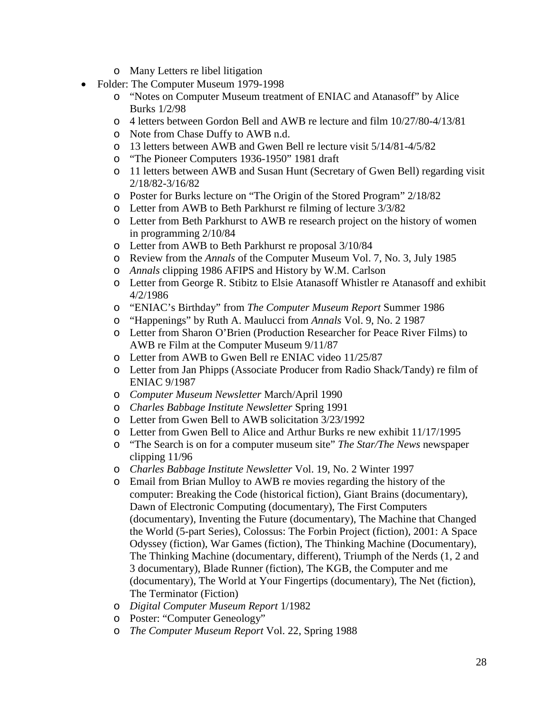- o Many Letters re libel litigation
- Folder: The Computer Museum 1979-1998
	- o "Notes on Computer Museum treatment of ENIAC and Atanasoff" by Alice Burks 1/2/98
	- o 4 letters between Gordon Bell and AWB re lecture and film 10/27/80-4/13/81
	- o Note from Chase Duffy to AWB n.d.
	- o 13 letters between AWB and Gwen Bell re lecture visit 5/14/81-4/5/82
	- o "The Pioneer Computers 1936-1950" 1981 draft
	- o 11 letters between AWB and Susan Hunt (Secretary of Gwen Bell) regarding visit 2/18/82-3/16/82
	- o Poster for Burks lecture on "The Origin of the Stored Program" 2/18/82
	- o Letter from AWB to Beth Parkhurst re filming of lecture 3/3/82
	- o Letter from Beth Parkhurst to AWB re research project on the history of women in programming 2/10/84
	- o Letter from AWB to Beth Parkhurst re proposal 3/10/84
	- o Review from the *Annals* of the Computer Museum Vol. 7, No. 3, July 1985
	- o *Annals* clipping 1986 AFIPS and History by W.M. Carlson
	- o Letter from George R. Stibitz to Elsie Atanasoff Whistler re Atanasoff and exhibit 4/2/1986
	- o "ENIAC's Birthday" from *The Computer Museum Report* Summer 1986
	- o "Happenings" by Ruth A. Maulucci from *Annals* Vol. 9, No. 2 1987
	- o Letter from Sharon O'Brien (Production Researcher for Peace River Films) to AWB re Film at the Computer Museum 9/11/87
	- o Letter from AWB to Gwen Bell re ENIAC video 11/25/87
	- o Letter from Jan Phipps (Associate Producer from Radio Shack/Tandy) re film of ENIAC 9/1987
	- o *Computer Museum Newsletter* March/April 1990
	- o *Charles Babbage Institute Newsletter* Spring 1991
	- o Letter from Gwen Bell to AWB solicitation 3/23/1992
	- o Letter from Gwen Bell to Alice and Arthur Burks re new exhibit 11/17/1995
	- o "The Search is on for a computer museum site" *The Star/The News* newspaper clipping 11/96
	- o *Charles Babbage Institute Newsletter* Vol. 19, No. 2 Winter 1997
	- o Email from Brian Mulloy to AWB re movies regarding the history of the computer: Breaking the Code (historical fiction), Giant Brains (documentary), Dawn of Electronic Computing (documentary), The First Computers (documentary), Inventing the Future (documentary), The Machine that Changed the World (5-part Series), Colossus: The Forbin Project (fiction), 2001: A Space Odyssey (fiction), War Games (fiction), The Thinking Machine (Documentary), The Thinking Machine (documentary, different), Triumph of the Nerds (1, 2 and 3 documentary), Blade Runner (fiction), The KGB, the Computer and me (documentary), The World at Your Fingertips (documentary), The Net (fiction), The Terminator (Fiction)
	- o *Digital Computer Museum Report* 1/1982
	- o Poster: "Computer Geneology"
	- o *The Computer Museum Report* Vol. 22, Spring 1988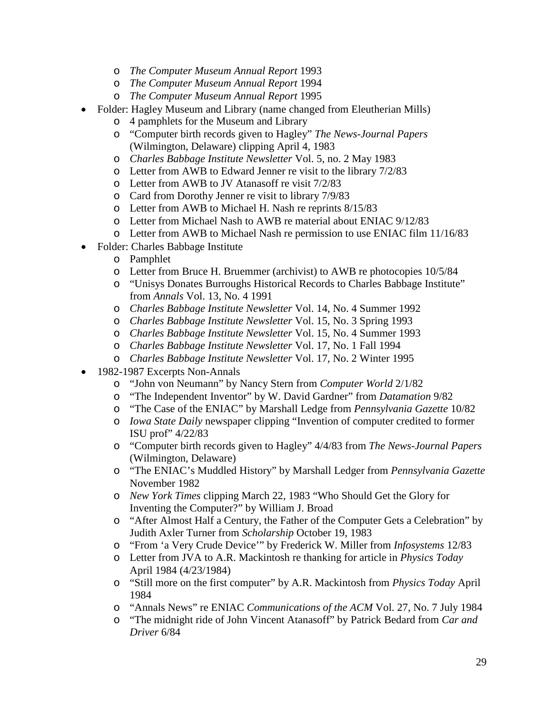- o *The Computer Museum Annual Report* 1993
- o *The Computer Museum Annual Report* 1994
- o *The Computer Museum Annual Report* 1995
- Folder: Hagley Museum and Library (name changed from Eleutherian Mills)
	- o 4 pamphlets for the Museum and Library
	- o "Computer birth records given to Hagley" *The News-Journal Papers* (Wilmington, Delaware) clipping April 4, 1983
	- o *Charles Babbage Institute Newsletter* Vol. 5, no. 2 May 1983
	- o Letter from AWB to Edward Jenner re visit to the library 7/2/83
	- o Letter from AWB to JV Atanasoff re visit 7/2/83
	- o Card from Dorothy Jenner re visit to library 7/9/83
	- o Letter from AWB to Michael H. Nash re reprints 8/15/83
	- o Letter from Michael Nash to AWB re material about ENIAC 9/12/83
	- o Letter from AWB to Michael Nash re permission to use ENIAC film 11/16/83
- Folder: Charles Babbage Institute
	- o Pamphlet
	- o Letter from Bruce H. Bruemmer (archivist) to AWB re photocopies 10/5/84
	- o "Unisys Donates Burroughs Historical Records to Charles Babbage Institute" from *Annals* Vol. 13, No. 4 1991
	- o *Charles Babbage Institute Newsletter* Vol. 14, No. 4 Summer 1992
	- o *Charles Babbage Institute Newsletter* Vol. 15, No. 3 Spring 1993
	- o *Charles Babbage Institute Newsletter* Vol. 15, No. 4 Summer 1993
	- o *Charles Babbage Institute Newsletter* Vol. 17, No. 1 Fall 1994
	- o *Charles Babbage Institute Newsletter* Vol. 17, No. 2 Winter 1995
- 1982-1987 Excerpts Non-Annals
	- o "John von Neumann" by Nancy Stern from *Computer World* 2/1/82
	- o "The Independent Inventor" by W. David Gardner" from *Datamation* 9/82
	- o "The Case of the ENIAC" by Marshall Ledge from *Pennsylvania Gazette* 10/82
	- o *Iowa State Daily* newspaper clipping "Invention of computer credited to former ISU prof" 4/22/83
	- o "Computer birth records given to Hagley" 4/4/83 from *The News-Journal Papers* (Wilmington, Delaware)
	- o "The ENIAC's Muddled History" by Marshall Ledger from *Pennsylvania Gazette* November 1982
	- o *New York Times* clipping March 22, 1983 "Who Should Get the Glory for Inventing the Computer?" by William J. Broad
	- o "After Almost Half a Century, the Father of the Computer Gets a Celebration" by Judith Axler Turner from *Scholarship* October 19, 1983
	- o "From 'a Very Crude Device'" by Frederick W. Miller from *Infosystems* 12/83
	- o Letter from JVA to A.R. Mackintosh re thanking for article in *Physics Today* April 1984 (4/23/1984)
	- o "Still more on the first computer" by A.R. Mackintosh from *Physics Today* April 1984
	- o "Annals News" re ENIAC *Communications of the ACM* Vol. 27, No. 7 July 1984
	- o "The midnight ride of John Vincent Atanasoff" by Patrick Bedard from *Car and Driver* 6/84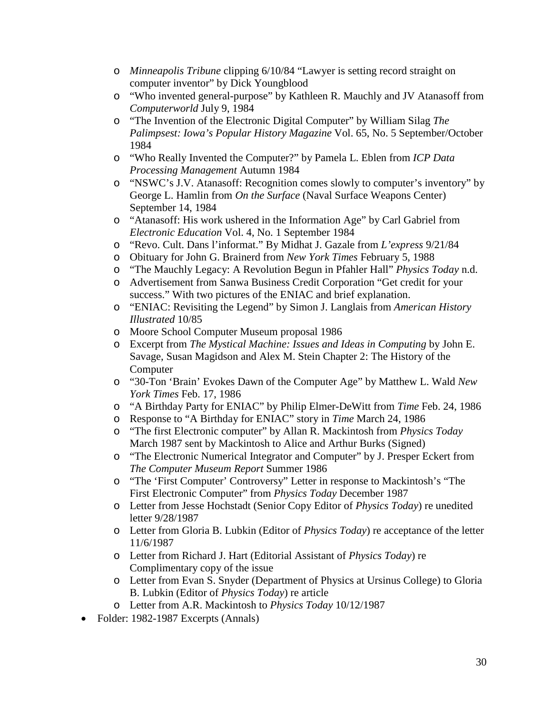- o *Minneapolis Tribune* clipping 6/10/84 "Lawyer is setting record straight on computer inventor" by Dick Youngblood
- o "Who invented general-purpose" by Kathleen R. Mauchly and JV Atanasoff from *Computerworld* July 9, 1984
- o "The Invention of the Electronic Digital Computer" by William Silag *The Palimpsest: Iowa's Popular History Magazine* Vol. 65, No. 5 September/October 1984
- o "Who Really Invented the Computer?" by Pamela L. Eblen from *ICP Data Processing Management* Autumn 1984
- o "NSWC's J.V. Atanasoff: Recognition comes slowly to computer's inventory" by George L. Hamlin from *On the Surface* (Naval Surface Weapons Center) September 14, 1984
- o "Atanasoff: His work ushered in the Information Age" by Carl Gabriel from *Electronic Education* Vol. 4, No. 1 September 1984
- o "Revo. Cult. Dans l'informat." By Midhat J. Gazale from *L'express* 9/21/84
- o Obituary for John G. Brainerd from *New York Times* February 5, 1988
- o "The Mauchly Legacy: A Revolution Begun in Pfahler Hall" *Physics Today* n.d.
- o Advertisement from Sanwa Business Credit Corporation "Get credit for your success." With two pictures of the ENIAC and brief explanation.
- o "ENIAC: Revisiting the Legend" by Simon J. Langlais from *American History Illustrated* 10/85
- o Moore School Computer Museum proposal 1986
- o Excerpt from *The Mystical Machine: Issues and Ideas in Computing* by John E. Savage, Susan Magidson and Alex M. Stein Chapter 2: The History of the Computer
- o "30-Ton 'Brain' Evokes Dawn of the Computer Age" by Matthew L. Wald *New York Times* Feb. 17, 1986
- o "A Birthday Party for ENIAC" by Philip Elmer-DeWitt from *Time* Feb. 24, 1986
- o Response to "A Birthday for ENIAC" story in *Time* March 24, 1986
- o "The first Electronic computer" by Allan R. Mackintosh from *Physics Today* March 1987 sent by Mackintosh to Alice and Arthur Burks (Signed)
- o "The Electronic Numerical Integrator and Computer" by J. Presper Eckert from *The Computer Museum Report* Summer 1986
- o "The 'First Computer' Controversy" Letter in response to Mackintosh's "The First Electronic Computer" from *Physics Today* December 1987
- o Letter from Jesse Hochstadt (Senior Copy Editor of *Physics Today*) re unedited letter 9/28/1987
- o Letter from Gloria B. Lubkin (Editor of *Physics Today*) re acceptance of the letter 11/6/1987
- o Letter from Richard J. Hart (Editorial Assistant of *Physics Today*) re Complimentary copy of the issue
- o Letter from Evan S. Snyder (Department of Physics at Ursinus College) to Gloria B. Lubkin (Editor of *Physics Today*) re article
- o Letter from A.R. Mackintosh to *Physics Today* 10/12/1987
- Folder: 1982-1987 Excerpts (Annals)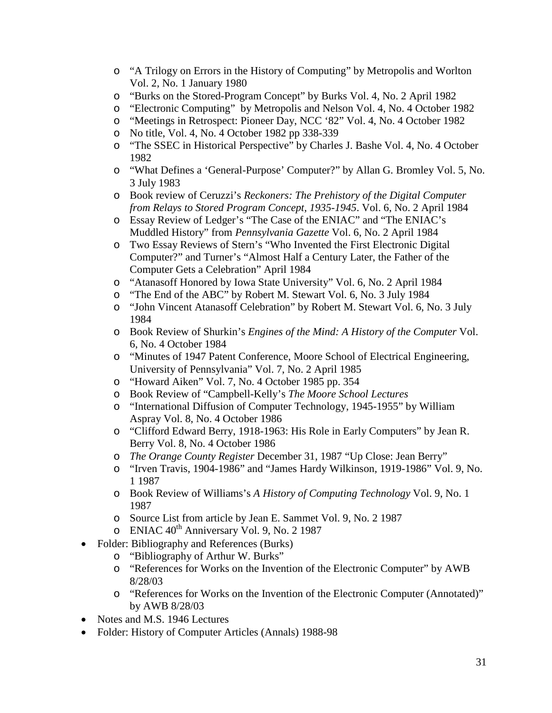- o "A Trilogy on Errors in the History of Computing" by Metropolis and Worlton Vol. 2, No. 1 January 1980
- o "Burks on the Stored-Program Concept" by Burks Vol. 4, No. 2 April 1982
- o "Electronic Computing" by Metropolis and Nelson Vol. 4, No. 4 October 1982
- o "Meetings in Retrospect: Pioneer Day, NCC '82" Vol. 4, No. 4 October 1982
- o No title, Vol. 4, No. 4 October 1982 pp 338-339
- o "The SSEC in Historical Perspective" by Charles J. Bashe Vol. 4, No. 4 October 1982
- o "What Defines a 'General-Purpose' Computer?" by Allan G. Bromley Vol. 5, No. 3 July 1983
- o Book review of Ceruzzi's *Reckoners: The Prehistory of the Digital Computer from Relays to Stored Program Concept, 1935-1945*. Vol. 6, No. 2 April 1984
- o Essay Review of Ledger's "The Case of the ENIAC" and "The ENIAC's Muddled History" from *Pennsylvania Gazette* Vol. 6, No. 2 April 1984
- o Two Essay Reviews of Stern's "Who Invented the First Electronic Digital Computer?" and Turner's "Almost Half a Century Later, the Father of the Computer Gets a Celebration" April 1984
- o "Atanasoff Honored by Iowa State University" Vol. 6, No. 2 April 1984
- o "The End of the ABC" by Robert M. Stewart Vol. 6, No. 3 July 1984
- o "John Vincent Atanasoff Celebration" by Robert M. Stewart Vol. 6, No. 3 July 1984
- o Book Review of Shurkin's *Engines of the Mind: A History of the Computer* Vol. 6, No. 4 October 1984
- o "Minutes of 1947 Patent Conference, Moore School of Electrical Engineering, University of Pennsylvania" Vol. 7, No. 2 April 1985
- o "Howard Aiken" Vol. 7, No. 4 October 1985 pp. 354
- o Book Review of "Campbell-Kelly's *The Moore School Lectures*
- o "International Diffusion of Computer Technology, 1945-1955" by William Aspray Vol. 8, No. 4 October 1986
- o "Clifford Edward Berry, 1918-1963: His Role in Early Computers" by Jean R. Berry Vol. 8, No. 4 October 1986
- o *The Orange County Register* December 31, 1987 "Up Close: Jean Berry"
- o "Irven Travis, 1904-1986" and "James Hardy Wilkinson, 1919-1986" Vol. 9, No. 1 1987
- o Book Review of Williams's *A History of Computing Technology* Vol. 9, No. 1 1987
- o Source List from article by Jean E. Sammet Vol. 9, No. 2 1987
- $\circ$  ENIAC 40<sup>th</sup> Anniversary Vol. 9, No. 2 1987
- Folder: Bibliography and References (Burks)
	- o "Bibliography of Arthur W. Burks"
	- o "References for Works on the Invention of the Electronic Computer" by AWB 8/28/03
	- o "References for Works on the Invention of the Electronic Computer (Annotated)" by AWB 8/28/03
- Notes and M.S. 1946 Lectures
- Folder: History of Computer Articles (Annals) 1988-98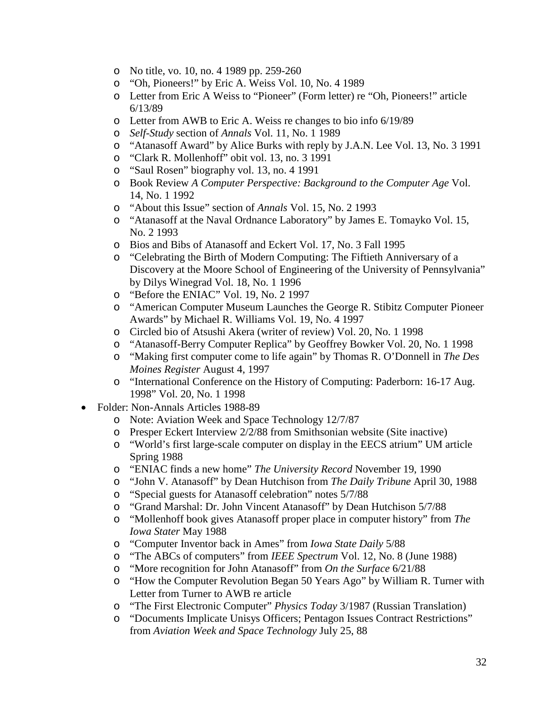- o No title, vo. 10, no. 4 1989 pp. 259-260
- o "Oh, Pioneers!" by Eric A. Weiss Vol. 10, No. 4 1989
- o Letter from Eric A Weiss to "Pioneer" (Form letter) re "Oh, Pioneers!" article 6/13/89
- o Letter from AWB to Eric A. Weiss re changes to bio info 6/19/89
- o *Self-Study* section of *Annals* Vol. 11, No. 1 1989
- o "Atanasoff Award" by Alice Burks with reply by J.A.N. Lee Vol. 13, No. 3 1991
- o "Clark R. Mollenhoff" obit vol. 13, no. 3 1991
- o "Saul Rosen" biography vol. 13, no. 4 1991
- o Book Review *A Computer Perspective: Background to the Computer Age* Vol. 14, No. 1 1992
- o "About this Issue" section of *Annals* Vol. 15, No. 2 1993
- o "Atanasoff at the Naval Ordnance Laboratory" by James E. Tomayko Vol. 15, No. 2 1993
- o Bios and Bibs of Atanasoff and Eckert Vol. 17, No. 3 Fall 1995
- o "Celebrating the Birth of Modern Computing: The Fiftieth Anniversary of a Discovery at the Moore School of Engineering of the University of Pennsylvania" by Dilys Winegrad Vol. 18, No. 1 1996
- o "Before the ENIAC" Vol. 19, No. 2 1997
- o "American Computer Museum Launches the George R. Stibitz Computer Pioneer Awards" by Michael R. Williams Vol. 19, No. 4 1997
- o Circled bio of Atsushi Akera (writer of review) Vol. 20, No. 1 1998
- o "Atanasoff-Berry Computer Replica" by Geoffrey Bowker Vol. 20, No. 1 1998
- o "Making first computer come to life again" by Thomas R. O'Donnell in *The Des Moines Register* August 4, 1997
- o "International Conference on the History of Computing: Paderborn: 16-17 Aug. 1998" Vol. 20, No. 1 1998
- Folder: Non-Annals Articles 1988-89
	- o Note: Aviation Week and Space Technology 12/7/87
	- o Presper Eckert Interview 2/2/88 from Smithsonian website (Site inactive)
	- o "World's first large-scale computer on display in the EECS atrium" UM article Spring 1988
	- o "ENIAC finds a new home" *The University Record* November 19, 1990
	- o "John V. Atanasoff" by Dean Hutchison from *The Daily Tribune* April 30, 1988
	- o "Special guests for Atanasoff celebration" notes 5/7/88
	- o "Grand Marshal: Dr. John Vincent Atanasoff" by Dean Hutchison 5/7/88
	- o "Mollenhoff book gives Atanasoff proper place in computer history" from *The Iowa Stater* May 1988
	- o "Computer Inventor back in Ames" from *Iowa State Daily* 5/88
	- "The ABCs of computers" from *IEEE Spectrum* Vol. 12, No. 8 (June 1988)
	- o "More recognition for John Atanasoff" from *On the Surface* 6/21/88
	- o "How the Computer Revolution Began 50 Years Ago" by William R. Turner with Letter from Turner to AWB re article
	- o "The First Electronic Computer" *Physics Today* 3/1987 (Russian Translation)
	- o "Documents Implicate Unisys Officers; Pentagon Issues Contract Restrictions" from *Aviation Week and Space Technology* July 25, 88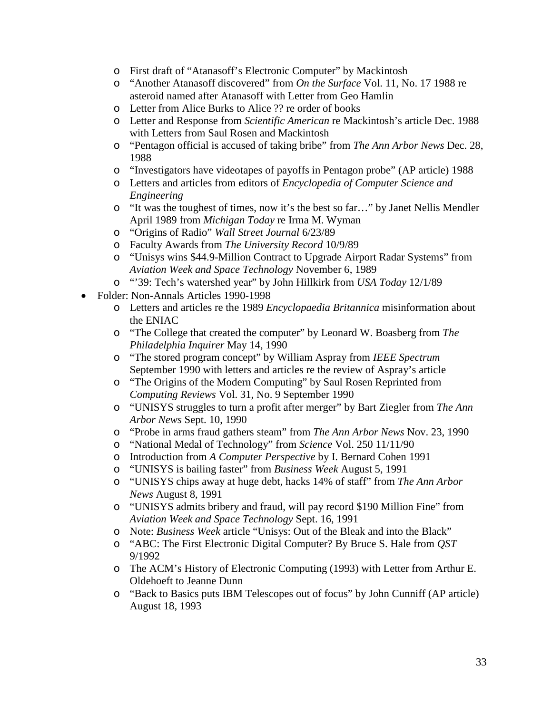- o First draft of "Atanasoff's Electronic Computer" by Mackintosh
- o "Another Atanasoff discovered" from *On the Surface* Vol. 11, No. 17 1988 re asteroid named after Atanasoff with Letter from Geo Hamlin
- o Letter from Alice Burks to Alice ?? re order of books
- o Letter and Response from *Scientific American* re Mackintosh's article Dec. 1988 with Letters from Saul Rosen and Mackintosh
- o "Pentagon official is accused of taking bribe" from *The Ann Arbor News* Dec. 28, 1988
- o "Investigators have videotapes of payoffs in Pentagon probe" (AP article) 1988
- o Letters and articles from editors of *Encyclopedia of Computer Science and Engineering*
- o "It was the toughest of times, now it's the best so far…" by Janet Nellis Mendler April 1989 from *Michigan Today* re Irma M. Wyman
- o "Origins of Radio" *Wall Street Journal* 6/23/89
- o Faculty Awards from *The University Record* 10/9/89
- o "Unisys wins \$44.9-Million Contract to Upgrade Airport Radar Systems" from *Aviation Week and Space Technology* November 6, 1989
- o "'39: Tech's watershed year" by John Hillkirk from *USA Today* 12/1/89
- Folder: Non-Annals Articles 1990-1998
	- o Letters and articles re the 1989 *Encyclopaedia Britannica* misinformation about the ENIAC
	- o "The College that created the computer" by Leonard W. Boasberg from *The Philadelphia Inquirer* May 14, 1990
	- o "The stored program concept" by William Aspray from *IEEE Spectrum* September 1990 with letters and articles re the review of Aspray's article
	- o "The Origins of the Modern Computing" by Saul Rosen Reprinted from *Computing Reviews* Vol. 31, No. 9 September 1990
	- o "UNISYS struggles to turn a profit after merger" by Bart Ziegler from *The Ann Arbor News* Sept. 10, 1990
	- o "Probe in arms fraud gathers steam" from *The Ann Arbor News* Nov. 23, 1990
	- o "National Medal of Technology" from *Science* Vol. 250 11/11/90
	- o Introduction from *A Computer Perspective* by I. Bernard Cohen 1991
	- o "UNISYS is bailing faster" from *Business Week* August 5, 1991
	- o "UNISYS chips away at huge debt, hacks 14% of staff" from *The Ann Arbor News* August 8, 1991
	- o "UNISYS admits bribery and fraud, will pay record \$190 Million Fine" from *Aviation Week and Space Technology* Sept. 16, 1991
	- o Note: *Business Week* article "Unisys: Out of the Bleak and into the Black"
	- o "ABC: The First Electronic Digital Computer? By Bruce S. Hale from *QST* 9/1992
	- o The ACM's History of Electronic Computing (1993) with Letter from Arthur E. Oldehoeft to Jeanne Dunn
	- o "Back to Basics puts IBM Telescopes out of focus" by John Cunniff (AP article) August 18, 1993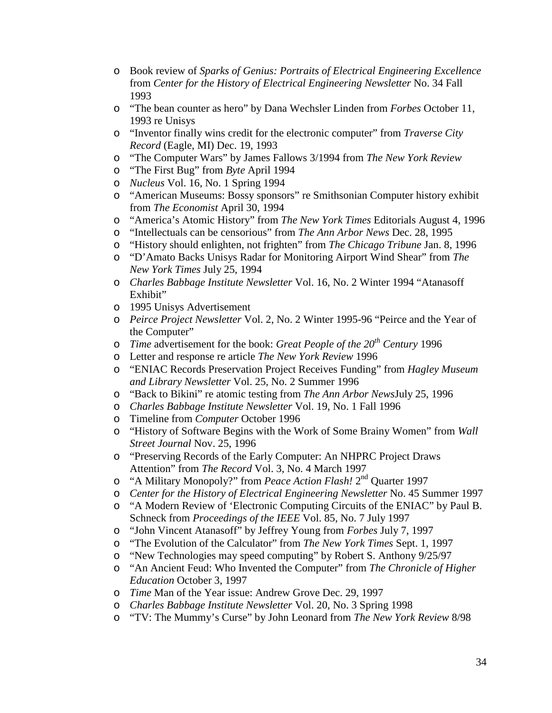- o Book review of *Sparks of Genius: Portraits of Electrical Engineering Excellence* from *Center for the History of Electrical Engineering Newsletter* No. 34 Fall 1993
- o "The bean counter as hero" by Dana Wechsler Linden from *Forbes* October 11, 1993 re Unisys
- o "Inventor finally wins credit for the electronic computer" from *Traverse City Record* (Eagle, MI) Dec. 19, 1993
- o "The Computer Wars" by James Fallows 3/1994 from *The New York Review*
- o "The First Bug" from *Byte* April 1994
- o *Nucleus* Vol. 16, No. 1 Spring 1994
- o "American Museums: Bossy sponsors" re Smithsonian Computer history exhibit from *The Economist* April 30, 1994
- o "America's Atomic History" from *The New York Times* Editorials August 4, 1996
- o "Intellectuals can be censorious" from *The Ann Arbor News* Dec. 28, 1995
- o "History should enlighten, not frighten" from *The Chicago Tribune* Jan. 8, 1996
- o "D'Amato Backs Unisys Radar for Monitoring Airport Wind Shear" from *The New York Times* July 25, 1994
- o *Charles Babbage Institute Newsletter* Vol. 16, No. 2 Winter 1994 "Atanasoff Exhibit"
- o 1995 Unisys Advertisement
- o *Peirce Project Newsletter* Vol. 2, No. 2 Winter 1995-96 "Peirce and the Year of the Computer"
- o *Time* advertisement for the book: *Great People of the 20th Century* 1996
- o Letter and response re article *The New York Review* 1996
- o "ENIAC Records Preservation Project Receives Funding" from *Hagley Museum and Library Newsletter* Vol. 25, No. 2 Summer 1996
- o "Back to Bikini" re atomic testing from *The Ann Arbor News*July 25, 1996
- o *Charles Babbage Institute Newsletter* Vol. 19, No. 1 Fall 1996
- o Timeline from *Computer* October 1996
- o "History of Software Begins with the Work of Some Brainy Women" from *Wall Street Journal* Nov. 25, 1996
- o "Preserving Records of the Early Computer: An NHPRC Project Draws Attention" from *The Record* Vol. 3, No. 4 March 1997
- o "A Military Monopoly?" from *Peace Action Flash!* 2nd Quarter 1997
- o *Center for the History of Electrical Engineering Newsletter* No. 45 Summer 1997
- o "A Modern Review of 'Electronic Computing Circuits of the ENIAC" by Paul B. Schneck from *Proceedings of the IEEE* Vol. 85, No. 7 July 1997
- o "John Vincent Atanasoff" by Jeffrey Young from *Forbes* July 7, 1997
- o "The Evolution of the Calculator" from *The New York Times* Sept. 1, 1997
- "New Technologies may speed computing" by Robert S. Anthony 9/25/97
- o "An Ancient Feud: Who Invented the Computer" from *The Chronicle of Higher Education* October 3, 1997
- o *Time* Man of the Year issue: Andrew Grove Dec. 29, 1997
- o *Charles Babbage Institute Newsletter* Vol. 20, No. 3 Spring 1998
- o "TV: The Mummy's Curse" by John Leonard from *The New York Review* 8/98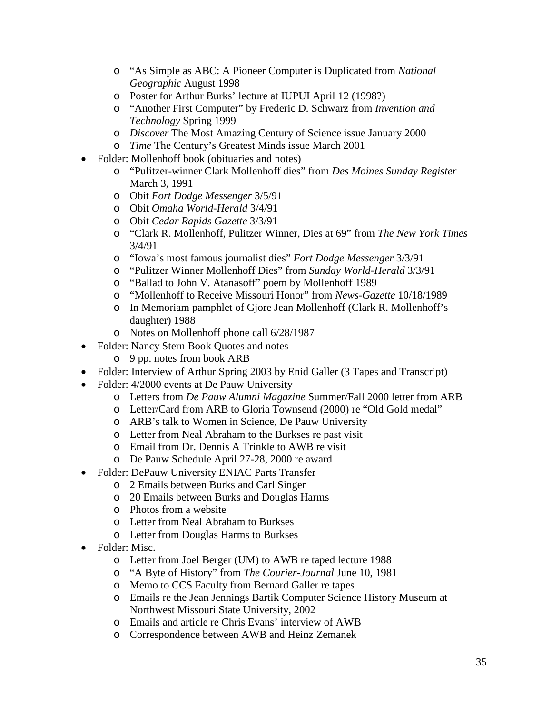- o "As Simple as ABC: A Pioneer Computer is Duplicated from *National Geographic* August 1998
- o Poster for Arthur Burks' lecture at IUPUI April 12 (1998?)
- o "Another First Computer" by Frederic D. Schwarz from *Invention and Technology* Spring 1999
- o *Discover* The Most Amazing Century of Science issue January 2000
- o *Time* The Century's Greatest Minds issue March 2001
- Folder: Mollenhoff book (obituaries and notes)
	- o "Pulitzer-winner Clark Mollenhoff dies" from *Des Moines Sunday Register* March 3, 1991
	- o Obit *Fort Dodge Messenger* 3/5/91
	- o Obit *Omaha World-Herald* 3/4/91
	- o Obit *Cedar Rapids Gazette* 3/3/91
	- o "Clark R. Mollenhoff, Pulitzer Winner, Dies at 69" from *The New York Times* 3/4/91
	- o "Iowa's most famous journalist dies" *Fort Dodge Messenger* 3/3/91
	- o "Pulitzer Winner Mollenhoff Dies" from *Sunday World-Herald* 3/3/91
	- o "Ballad to John V. Atanasoff" poem by Mollenhoff 1989
	- o "Mollenhoff to Receive Missouri Honor" from *News-Gazette* 10/18/1989
	- o In Memoriam pamphlet of Gjore Jean Mollenhoff (Clark R. Mollenhoff's daughter) 1988
	- o Notes on Mollenhoff phone call 6/28/1987
- Folder: Nancy Stern Book Quotes and notes
	- o 9 pp. notes from book ARB
- Folder: Interview of Arthur Spring 2003 by Enid Galler (3 Tapes and Transcript)
- Folder: 4/2000 events at De Pauw University
	- o Letters from *De Pauw Alumni Magazine* Summer/Fall 2000 letter from ARB
	- o Letter/Card from ARB to Gloria Townsend (2000) re "Old Gold medal"
	- o ARB's talk to Women in Science, De Pauw University
	- o Letter from Neal Abraham to the Burkses re past visit
	- o Email from Dr. Dennis A Trinkle to AWB re visit
	- o De Pauw Schedule April 27-28, 2000 re award
- Folder: DePauw University ENIAC Parts Transfer
	- o 2 Emails between Burks and Carl Singer
	- o 20 Emails between Burks and Douglas Harms
	- o Photos from a website
	- o Letter from Neal Abraham to Burkses
	- o Letter from Douglas Harms to Burkses
- Folder: Misc.
	- o Letter from Joel Berger (UM) to AWB re taped lecture 1988
	- o "A Byte of History" from *The Courier-Journal* June 10, 1981
	- o Memo to CCS Faculty from Bernard Galler re tapes
	- o Emails re the Jean Jennings Bartik Computer Science History Museum at Northwest Missouri State University, 2002
	- o Emails and article re Chris Evans' interview of AWB
	- o Correspondence between AWB and Heinz Zemanek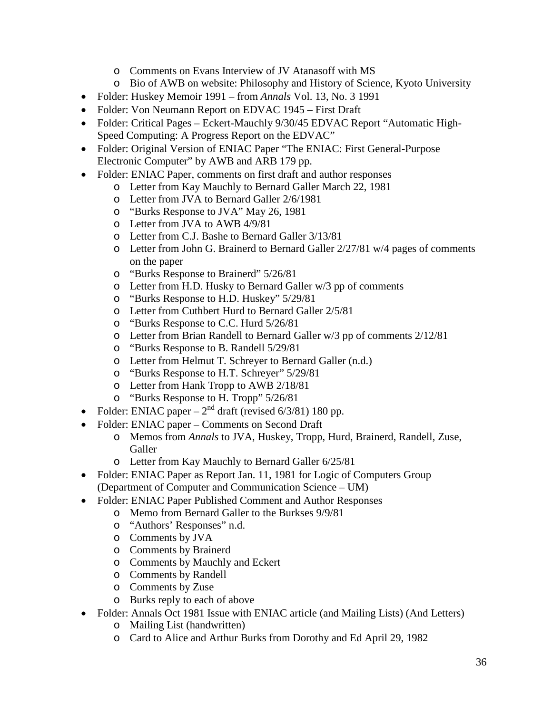- o Comments on Evans Interview of JV Atanasoff with MS
- o Bio of AWB on website: Philosophy and History of Science, Kyoto University
- Folder: Huskey Memoir 1991 from *Annals* Vol. 13, No. 3 1991
- Folder: Von Neumann Report on EDVAC 1945 First Draft
- Folder: Critical Pages Eckert-Mauchly 9/30/45 EDVAC Report "Automatic High-Speed Computing: A Progress Report on the EDVAC"
- Folder: Original Version of ENIAC Paper "The ENIAC: First General-Purpose Electronic Computer" by AWB and ARB 179 pp.
- Folder: ENIAC Paper, comments on first draft and author responses
	- o Letter from Kay Mauchly to Bernard Galler March 22, 1981
		- o Letter from JVA to Bernard Galler 2/6/1981
		- o "Burks Response to JVA" May 26, 1981
		- o Letter from JVA to AWB 4/9/81
		- o Letter from C.J. Bashe to Bernard Galler 3/13/81
		- $\circ$  Letter from John G. Brainerd to Bernard Galler 2/27/81 w/4 pages of comments on the paper
		- o "Burks Response to Brainerd" 5/26/81
		- o Letter from H.D. Husky to Bernard Galler w/3 pp of comments
		- o "Burks Response to H.D. Huskey" 5/29/81
		- o Letter from Cuthbert Hurd to Bernard Galler 2/5/81
		- o "Burks Response to C.C. Hurd 5/26/81
		- o Letter from Brian Randell to Bernard Galler w/3 pp of comments 2/12/81
		- o "Burks Response to B. Randell 5/29/81
		- o Letter from Helmut T. Schreyer to Bernard Galler (n.d.)
		- o "Burks Response to H.T. Schreyer" 5/29/81
		- o Letter from Hank Tropp to AWB 2/18/81
		- o "Burks Response to H. Tropp" 5/26/81
- Folder: ENIAC paper  $2<sup>nd</sup>$  draft (revised 6/3/81) 180 pp.
- Folder: ENIAC paper Comments on Second Draft
	- o Memos from *Annals* to JVA, Huskey, Tropp, Hurd, Brainerd, Randell, Zuse, Galler
	- o Letter from Kay Mauchly to Bernard Galler 6/25/81
- Folder: ENIAC Paper as Report Jan. 11, 1981 for Logic of Computers Group (Department of Computer and Communication Science – UM)
- Folder: ENIAC Paper Published Comment and Author Responses
	- o Memo from Bernard Galler to the Burkses 9/9/81
	- o "Authors' Responses" n.d.
	- o Comments by JVA
	- o Comments by Brainerd
	- o Comments by Mauchly and Eckert
	- o Comments by Randell
	- o Comments by Zuse
	- o Burks reply to each of above
- Folder: Annals Oct 1981 Issue with ENIAC article (and Mailing Lists) (And Letters)
	- o Mailing List (handwritten)
	- o Card to Alice and Arthur Burks from Dorothy and Ed April 29, 1982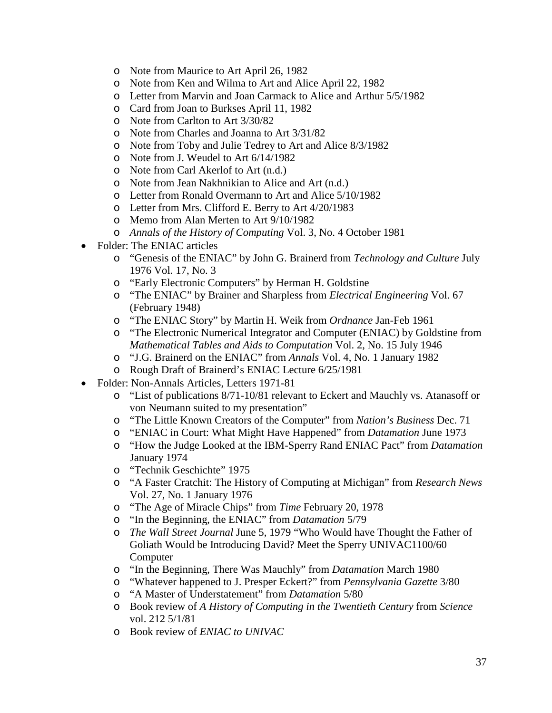- o Note from Maurice to Art April 26, 1982
- o Note from Ken and Wilma to Art and Alice April 22, 1982
- o Letter from Marvin and Joan Carmack to Alice and Arthur 5/5/1982
- o Card from Joan to Burkses April 11, 1982
- o Note from Carlton to Art 3/30/82
- o Note from Charles and Joanna to Art 3/31/82
- o Note from Toby and Julie Tedrey to Art and Alice 8/3/1982
- o Note from J. Weudel to Art 6/14/1982
- o Note from Carl Akerlof to Art (n.d.)
- o Note from Jean Nakhnikian to Alice and Art (n.d.)
- o Letter from Ronald Overmann to Art and Alice 5/10/1982
- o Letter from Mrs. Clifford E. Berry to Art 4/20/1983
- o Memo from Alan Merten to Art 9/10/1982
- o *Annals of the History of Computing* Vol. 3, No. 4 October 1981
- Folder: The ENIAC articles
	- o "Genesis of the ENIAC" by John G. Brainerd from *Technology and Culture* July 1976 Vol. 17, No. 3
	- o "Early Electronic Computers" by Herman H. Goldstine
	- o "The ENIAC" by Brainer and Sharpless from *Electrical Engineering* Vol. 67 (February 1948)
	- o "The ENIAC Story" by Martin H. Weik from *Ordnance* Jan-Feb 1961
	- o "The Electronic Numerical Integrator and Computer (ENIAC) by Goldstine from *Mathematical Tables and Aids to Computation* Vol. 2, No. 15 July 1946
	- o "J.G. Brainerd on the ENIAC" from *Annals* Vol. 4, No. 1 January 1982
	- o Rough Draft of Brainerd's ENIAC Lecture 6/25/1981
- Folder: Non-Annals Articles, Letters 1971-81
	- o "List of publications 8/71-10/81 relevant to Eckert and Mauchly vs. Atanasoff or von Neumann suited to my presentation"
	- o "The Little Known Creators of the Computer" from *Nation's Business* Dec. 71
	- o "ENIAC in Court: What Might Have Happened" from *Datamation* June 1973
	- o "How the Judge Looked at the IBM-Sperry Rand ENIAC Pact" from *Datamation* January 1974
	- o "Technik Geschichte" 1975
	- o "A Faster Cratchit: The History of Computing at Michigan" from *Research News* Vol. 27, No. 1 January 1976
	- o "The Age of Miracle Chips" from *Time* February 20, 1978
	- o "In the Beginning, the ENIAC" from *Datamation* 5/79
	- o *The Wall Street Journal* June 5, 1979 "Who Would have Thought the Father of Goliath Would be Introducing David? Meet the Sperry UNIVAC1100/60 Computer
	- o "In the Beginning, There Was Mauchly" from *Datamation* March 1980
	- o "Whatever happened to J. Presper Eckert?" from *Pennsylvania Gazette* 3/80
	- o "A Master of Understatement" from *Datamation* 5/80
	- o Book review of *A History of Computing in the Twentieth Century* from *Science* vol. 212 5/1/81
	- o Book review of *ENIAC to UNIVAC*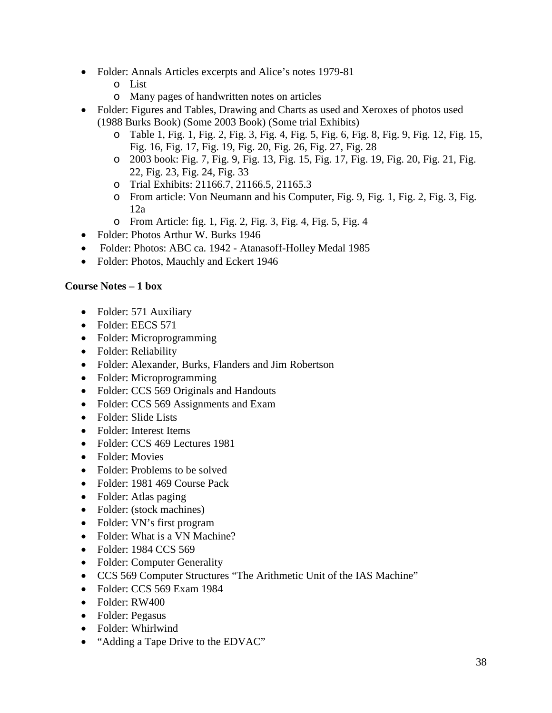- Folder: Annals Articles excerpts and Alice's notes 1979-81
	- o List
	- o Many pages of handwritten notes on articles
- Folder: Figures and Tables, Drawing and Charts as used and Xeroxes of photos used (1988 Burks Book) (Some 2003 Book) (Some trial Exhibits)
	- o Table 1, Fig. 1, Fig. 2, Fig. 3, Fig. 4, Fig. 5, Fig. 6, Fig. 8, Fig. 9, Fig. 12, Fig. 15, Fig. 16, Fig. 17, Fig. 19, Fig. 20, Fig. 26, Fig. 27, Fig. 28
	- o 2003 book: Fig. 7, Fig. 9, Fig. 13, Fig. 15, Fig. 17, Fig. 19, Fig. 20, Fig. 21, Fig. 22, Fig. 23, Fig. 24, Fig. 33
	- o Trial Exhibits: 21166.7, 21166.5, 21165.3
	- o From article: Von Neumann and his Computer, Fig. 9, Fig. 1, Fig. 2, Fig. 3, Fig. 12a
	- o From Article: fig. 1, Fig. 2, Fig. 3, Fig. 4, Fig. 5, Fig. 4
- Folder: Photos Arthur W. Burks 1946
- Folder: Photos: ABC ca. 1942 Atanasoff-Holley Medal 1985
- Folder: Photos, Mauchly and Eckert 1946

#### **Course Notes – 1 box**

- Folder: 571 Auxiliary
- Folder: EECS 571
- Folder: Microprogramming
- Folder: Reliability
- Folder: Alexander, Burks, Flanders and Jim Robertson
- Folder: Microprogramming
- Folder: CCS 569 Originals and Handouts
- Folder: CCS 569 Assignments and Exam
- Folder: Slide Lists
- Folder: Interest Items
- Folder: CCS 469 Lectures 1981
- Folder: Movies
- Folder: Problems to be solved
- Folder: 1981 469 Course Pack
- Folder: Atlas paging
- Folder: (stock machines)
- Folder: VN's first program
- Folder: What is a VN Machine?
- Folder: 1984 CCS 569
- Folder: Computer Generality
- CCS 569 Computer Structures "The Arithmetic Unit of the IAS Machine"
- Folder: CCS 569 Exam 1984
- Folder: RW400
- Folder: Pegasus
- Folder: Whirlwind
- "Adding a Tape Drive to the EDVAC"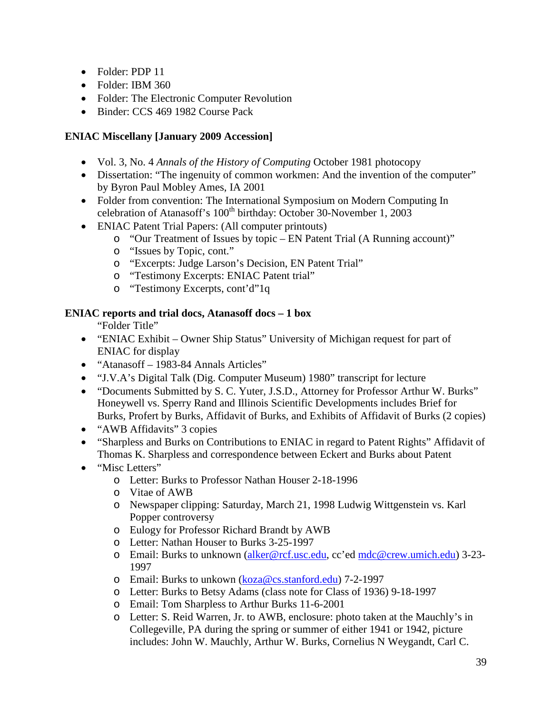- Folder: PDP 11
- Folder: IBM 360
- Folder: The Electronic Computer Revolution
- Binder: CCS 469 1982 Course Pack

## **ENIAC Miscellany [January 2009 Accession]**

- Vol. 3, No. 4 *Annals of the History of Computing* October 1981 photocopy
- Dissertation: "The ingenuity of common workmen: And the invention of the computer" by Byron Paul Mobley Ames, IA 2001
- Folder from convention: The International Symposium on Modern Computing In celebration of Atanasoff's 100<sup>th</sup> birthday: October 30-November 1, 2003
- ENIAC Patent Trial Papers: (All computer printouts)
	- o "Our Treatment of Issues by topic EN Patent Trial (A Running account)"
	- o "Issues by Topic, cont."
	- o "Excerpts: Judge Larson's Decision, EN Patent Trial"
	- o "Testimony Excerpts: ENIAC Patent trial"
	- o "Testimony Excerpts, cont'd"1q

#### **ENIAC reports and trial docs, Atanasoff docs – 1 box**

"Folder Title"

- "ENIAC Exhibit Owner Ship Status" University of Michigan request for part of ENIAC for display
- "Atanasoff 1983-84 Annals Articles"
- "J.V.A's Digital Talk (Dig. Computer Museum) 1980" transcript for lecture
- "Documents Submitted by S. C. Yuter, J.S.D., Attorney for Professor Arthur W. Burks" Honeywell vs. Sperry Rand and Illinois Scientific Developments includes Brief for Burks, Profert by Burks, Affidavit of Burks, and Exhibits of Affidavit of Burks (2 copies)
- "AWB Affidavits" 3 copies
- "Sharpless and Burks on Contributions to ENIAC in regard to Patent Rights" Affidavit of Thomas K. Sharpless and correspondence between Eckert and Burks about Patent
- "Misc Letters"
	- o Letter: Burks to Professor Nathan Houser 2-18-1996
	- o Vitae of AWB
	- o Newspaper clipping: Saturday, March 21, 1998 Ludwig Wittgenstein vs. Karl Popper controversy
	- o Eulogy for Professor Richard Brandt by AWB
	- o Letter: Nathan Houser to Burks 3-25-1997
	- o Email: Burks to unknown [\(alker@rcf.usc.edu,](mailto:alker@rcf.usc.edu) cc'ed [mdc@crew.umich.edu\)](mailto:mdc@crew.umich.edu) 3-23- 1997
	- o Email: Burks to unkown [\(koza@cs.stanford.edu\)](mailto:koza@cs.stanford.edu) 7-2-1997
	- o Letter: Burks to Betsy Adams (class note for Class of 1936) 9-18-1997
	- o Email: Tom Sharpless to Arthur Burks 11-6-2001
	- o Letter: S. Reid Warren, Jr. to AWB, enclosure: photo taken at the Mauchly's in Collegeville, PA during the spring or summer of either 1941 or 1942, picture includes: John W. Mauchly, Arthur W. Burks, Cornelius N Weygandt, Carl C.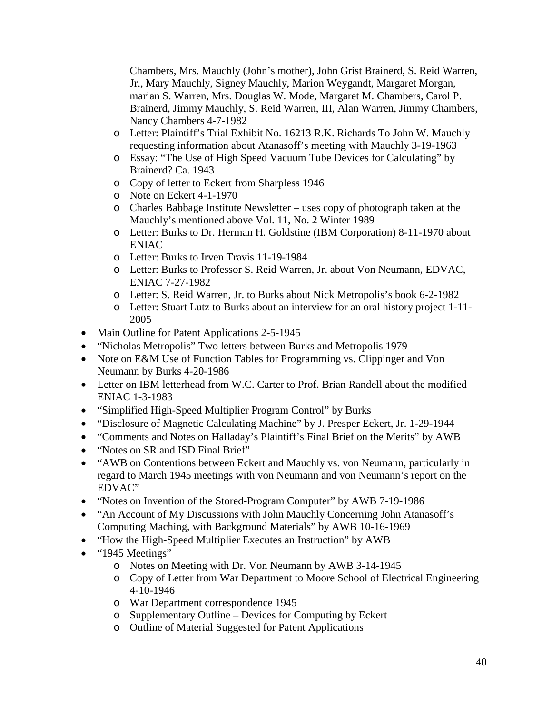Chambers, Mrs. Mauchly (John's mother), John Grist Brainerd, S. Reid Warren, Jr., Mary Mauchly, Signey Mauchly, Marion Weygandt, Margaret Morgan, marian S. Warren, Mrs. Douglas W. Mode, Margaret M. Chambers, Carol P. Brainerd, Jimmy Mauchly, S. Reid Warren, III, Alan Warren, Jimmy Chambers, Nancy Chambers 4-7-1982

- o Letter: Plaintiff's Trial Exhibit No. 16213 R.K. Richards To John W. Mauchly requesting information about Atanasoff's meeting with Mauchly 3-19-1963
- o Essay: "The Use of High Speed Vacuum Tube Devices for Calculating" by Brainerd? Ca. 1943
- o Copy of letter to Eckert from Sharpless 1946
- o Note on Eckert 4-1-1970
- o Charles Babbage Institute Newsletter uses copy of photograph taken at the Mauchly's mentioned above Vol. 11, No. 2 Winter 1989
- o Letter: Burks to Dr. Herman H. Goldstine (IBM Corporation) 8-11-1970 about ENIAC
- o Letter: Burks to Irven Travis 11-19-1984
- o Letter: Burks to Professor S. Reid Warren, Jr. about Von Neumann, EDVAC, ENIAC 7-27-1982
- o Letter: S. Reid Warren, Jr. to Burks about Nick Metropolis's book 6-2-1982
- o Letter: Stuart Lutz to Burks about an interview for an oral history project 1-11- 2005
- Main Outline for Patent Applications 2-5-1945
- "Nicholas Metropolis" Two letters between Burks and Metropolis 1979
- Note on E&M Use of Function Tables for Programming vs. Clippinger and Von Neumann by Burks 4-20-1986
- Letter on IBM letterhead from W.C. Carter to Prof. Brian Randell about the modified ENIAC 1-3-1983
- "Simplified High-Speed Multiplier Program Control" by Burks
- "Disclosure of Magnetic Calculating Machine" by J. Presper Eckert, Jr. 1-29-1944
- "Comments and Notes on Halladay's Plaintiff's Final Brief on the Merits" by AWB
- "Notes on SR and ISD Final Brief"
- "AWB on Contentions between Eckert and Mauchly vs. von Neumann, particularly in regard to March 1945 meetings with von Neumann and von Neumann's report on the EDVAC"
- "Notes on Invention of the Stored-Program Computer" by AWB 7-19-1986
- "An Account of My Discussions with John Mauchly Concerning John Atanasoff's Computing Maching, with Background Materials" by AWB 10-16-1969
- "How the High-Speed Multiplier Executes an Instruction" by AWB
- "1945 Meetings"
	- o Notes on Meeting with Dr. Von Neumann by AWB 3-14-1945
	- o Copy of Letter from War Department to Moore School of Electrical Engineering 4-10-1946
	- o War Department correspondence 1945
	- o Supplementary Outline Devices for Computing by Eckert
	- o Outline of Material Suggested for Patent Applications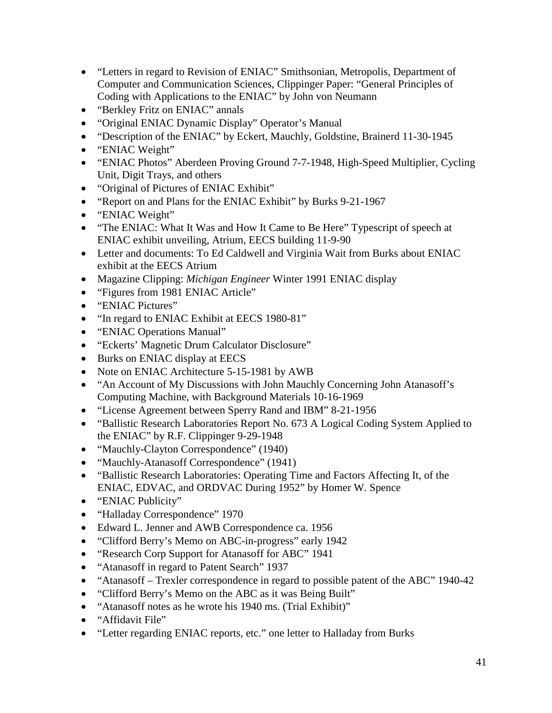- "Letters in regard to Revision of ENIAC" Smithsonian, Metropolis, Department of Computer and Communication Sciences, Clippinger Paper: "General Principles of Coding with Applications to the ENIAC" by John von Neumann
- "Berkley Fritz on ENIAC" annals
- "Original ENIAC Dynamic Display" Operator's Manual
- "Description of the ENIAC" by Eckert, Mauchly, Goldstine, Brainerd 11-30-1945
- "ENIAC Weight"
- "ENIAC Photos" Aberdeen Proving Ground 7-7-1948, High-Speed Multiplier, Cycling Unit, Digit Trays, and others
- "Original of Pictures of ENIAC Exhibit"
- "Report on and Plans for the ENIAC Exhibit" by Burks 9-21-1967
- "ENIAC Weight"
- "The ENIAC: What It Was and How It Came to Be Here" Typescript of speech at ENIAC exhibit unveiling, Atrium, EECS building 11-9-90
- Letter and documents: To Ed Caldwell and Virginia Wait from Burks about ENIAC exhibit at the EECS Atrium
- Magazine Clipping: *Michigan Engineer* Winter 1991 ENIAC display
- "Figures from 1981 ENIAC Article"
- "ENIAC Pictures"
- "In regard to ENIAC Exhibit at EECS 1980-81"
- "ENIAC Operations Manual"
- "Eckerts' Magnetic Drum Calculator Disclosure"
- Burks on ENIAC display at EECS
- Note on ENIAC Architecture 5-15-1981 by AWB
- "An Account of My Discussions with John Mauchly Concerning John Atanasoff's Computing Machine, with Background Materials 10-16-1969
- "License Agreement between Sperry Rand and IBM" 8-21-1956
- "Ballistic Research Laboratories Report No. 673 A Logical Coding System Applied to the ENIAC" by R.F. Clippinger 9-29-1948
- "Mauchly-Clayton Correspondence" (1940)
- "Mauchly-Atanasoff Correspondence" (1941)
- "Ballistic Research Laboratories: Operating Time and Factors Affecting It, of the ENIAC, EDVAC, and ORDVAC During 1952" by Homer W. Spence
- "ENIAC Publicity"
- "Halladay Correspondence" 1970
- Edward L. Jenner and AWB Correspondence ca. 1956
- "Clifford Berry's Memo on ABC-in-progress" early 1942
- "Research Corp Support for Atanasoff for ABC" 1941
- "Atanasoff in regard to Patent Search" 1937
- "Atanasoff Trexler correspondence in regard to possible patent of the ABC" 1940-42
- "Clifford Berry's Memo on the ABC as it was Being Built"
- "Atanasoff notes as he wrote his 1940 ms. (Trial Exhibit)"
- "Affidavit File"
- "Letter regarding ENIAC reports, etc." one letter to Halladay from Burks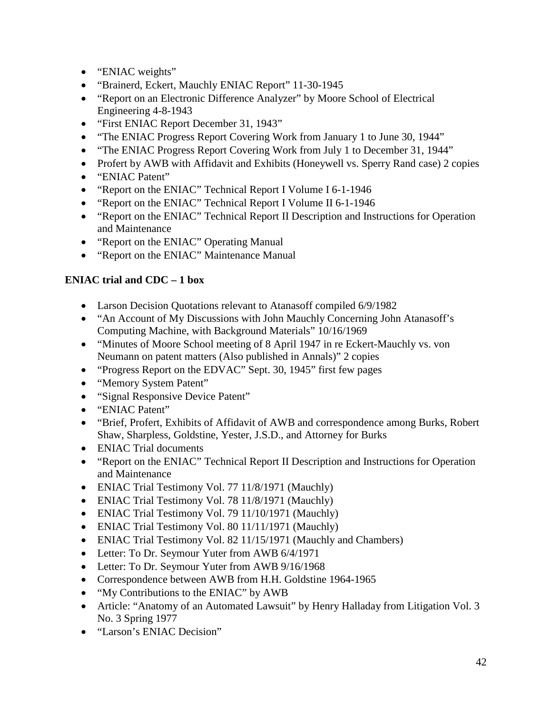- "ENIAC weights"
- "Brainerd, Eckert, Mauchly ENIAC Report" 11-30-1945
- "Report on an Electronic Difference Analyzer" by Moore School of Electrical Engineering 4-8-1943
- "First ENIAC Report December 31, 1943"
- "The ENIAC Progress Report Covering Work from January 1 to June 30, 1944"
- "The ENIAC Progress Report Covering Work from July 1 to December 31, 1944"
- Profert by AWB with Affidavit and Exhibits (Honeywell vs. Sperry Rand case) 2 copies
- "ENIAC Patent"
- "Report on the ENIAC" Technical Report I Volume I 6-1-1946
- "Report on the ENIAC" Technical Report I Volume II 6-1-1946
- "Report on the ENIAC" Technical Report II Description and Instructions for Operation and Maintenance
- "Report on the ENIAC" Operating Manual
- "Report on the ENIAC" Maintenance Manual

# **ENIAC trial and CDC – 1 box**

- Larson Decision Quotations relevant to Atanasoff compiled 6/9/1982
- "An Account of My Discussions with John Mauchly Concerning John Atanasoff's Computing Machine, with Background Materials" 10/16/1969
- "Minutes of Moore School meeting of 8 April 1947 in re Eckert-Mauchly vs. von Neumann on patent matters (Also published in Annals)" 2 copies
- "Progress Report on the EDVAC" Sept. 30, 1945" first few pages
- "Memory System Patent"
- "Signal Responsive Device Patent"
- "ENIAC Patent"
- "Brief, Profert, Exhibits of Affidavit of AWB and correspondence among Burks, Robert Shaw, Sharpless, Goldstine, Yester, J.S.D., and Attorney for Burks
- ENIAC Trial documents
- "Report on the ENIAC" Technical Report II Description and Instructions for Operation and Maintenance
- ENIAC Trial Testimony Vol. 77 11/8/1971 (Mauchly)
- ENIAC Trial Testimony Vol. 78 11/8/1971 (Mauchly)
- ENIAC Trial Testimony Vol. 79 11/10/1971 (Mauchly)
- ENIAC Trial Testimony Vol. 80 11/11/1971 (Mauchly)
- ENIAC Trial Testimony Vol. 82 11/15/1971 (Mauchly and Chambers)
- Letter: To Dr. Seymour Yuter from AWB 6/4/1971
- Letter: To Dr. Seymour Yuter from AWB 9/16/1968
- Correspondence between AWB from H.H. Goldstine 1964-1965
- "My Contributions to the ENIAC" by AWB
- Article: "Anatomy of an Automated Lawsuit" by Henry Halladay from Litigation Vol. 3 No. 3 Spring 1977
- "Larson's ENIAC Decision"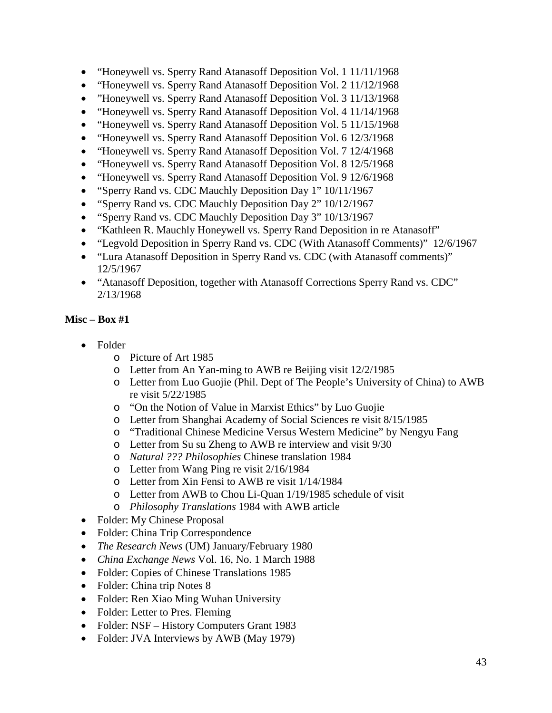- "Honeywell vs. Sperry Rand Atanasoff Deposition Vol. 1 11/11/1968
- "Honeywell vs. Sperry Rand Atanasoff Deposition Vol. 2 11/12/1968
- "Honeywell vs. Sperry Rand Atanasoff Deposition Vol. 3 11/13/1968
- "Honeywell vs. Sperry Rand Atanasoff Deposition Vol. 4 11/14/1968
- "Honeywell vs. Sperry Rand Atanasoff Deposition Vol. 5 11/15/1968
- "Honeywell vs. Sperry Rand Atanasoff Deposition Vol. 6 12/3/1968
- "Honeywell vs. Sperry Rand Atanasoff Deposition Vol. 7 12/4/1968
- "Honeywell vs. Sperry Rand Atanasoff Deposition Vol. 8 12/5/1968
- "Honeywell vs. Sperry Rand Atanasoff Deposition Vol. 9 12/6/1968
- "Sperry Rand vs. CDC Mauchly Deposition Day 1" 10/11/1967
- "Sperry Rand vs. CDC Mauchly Deposition Day 2" 10/12/1967
- "Sperry Rand vs. CDC Mauchly Deposition Day 3" 10/13/1967
- "Kathleen R. Mauchly Honeywell vs. Sperry Rand Deposition in re Atanasoff"
- "Legvold Deposition in Sperry Rand vs. CDC (With Atanasoff Comments)" 12/6/1967
- "Lura Atanasoff Deposition in Sperry Rand vs. CDC (with Atanasoff comments)" 12/5/1967
- "Atanasoff Deposition, together with Atanasoff Corrections Sperry Rand vs. CDC" 2/13/1968

- Folder
	- o Picture of Art 1985
	- o Letter from An Yan-ming to AWB re Beijing visit 12/2/1985
	- o Letter from Luo Guojie (Phil. Dept of The People's University of China) to AWB re visit 5/22/1985
	- o "On the Notion of Value in Marxist Ethics" by Luo Guojie
	- o Letter from Shanghai Academy of Social Sciences re visit 8/15/1985
	- o "Traditional Chinese Medicine Versus Western Medicine" by Nengyu Fang
	- o Letter from Su su Zheng to AWB re interview and visit 9/30
	- o *Natural ??? Philosophies* Chinese translation 1984
	- o Letter from Wang Ping re visit 2/16/1984
	- o Letter from Xin Fensi to AWB re visit 1/14/1984
	- o Letter from AWB to Chou Li-Quan 1/19/1985 schedule of visit
	- o *Philosophy Translations* 1984 with AWB article
- Folder: My Chinese Proposal
- Folder: China Trip Correspondence
- *The Research News* (UM) January/February 1980
- *China Exchange News* Vol. 16, No. 1 March 1988
- Folder: Copies of Chinese Translations 1985
- Folder: China trip Notes 8
- Folder: Ren Xiao Ming Wuhan University
- Folder: Letter to Pres. Fleming
- Folder: NSF History Computers Grant 1983
- Folder: JVA Interviews by AWB (May 1979)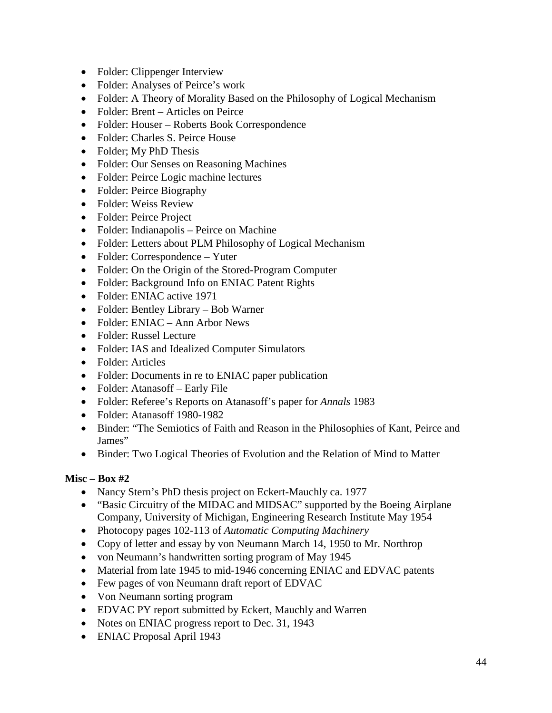- Folder: Clippenger Interview
- Folder: Analyses of Peirce's work
- Folder: A Theory of Morality Based on the Philosophy of Logical Mechanism
- Folder: Brent Articles on Peirce
- Folder: Houser Roberts Book Correspondence
- Folder: Charles S. Peirce House
- Folder; My PhD Thesis
- Folder: Our Senses on Reasoning Machines
- Folder: Peirce Logic machine lectures
- Folder: Peirce Biography
- Folder: Weiss Review
- Folder: Peirce Project
- Folder: Indianapolis Peirce on Machine
- Folder: Letters about PLM Philosophy of Logical Mechanism
- Folder: Correspondence Yuter
- Folder: On the Origin of the Stored-Program Computer
- Folder: Background Info on ENIAC Patent Rights
- Folder: ENIAC active 1971
- Folder: Bentley Library Bob Warner
- Folder: ENIAC Ann Arbor News
- Folder: Russel Lecture
- Folder: IAS and Idealized Computer Simulators
- Folder: Articles
- Folder: Documents in re to ENIAC paper publication
- Folder: Atanasoff Early File
- Folder: Referee's Reports on Atanasoff's paper for *Annals* 1983
- Folder: Atanasoff 1980-1982
- Binder: "The Semiotics of Faith and Reason in the Philosophies of Kant, Peirce and James"
- Binder: Two Logical Theories of Evolution and the Relation of Mind to Matter

- Nancy Stern's PhD thesis project on Eckert-Mauchly ca. 1977
- "Basic Circuitry of the MIDAC and MIDSAC" supported by the Boeing Airplane Company, University of Michigan, Engineering Research Institute May 1954
- Photocopy pages 102-113 of *Automatic Computing Machinery*
- Copy of letter and essay by von Neumann March 14, 1950 to Mr. Northrop
- von Neumann's handwritten sorting program of May 1945
- Material from late 1945 to mid-1946 concerning ENIAC and EDVAC patents
- Few pages of von Neumann draft report of EDVAC
- Von Neumann sorting program
- EDVAC PY report submitted by Eckert, Mauchly and Warren
- Notes on ENIAC progress report to Dec. 31, 1943
- ENIAC Proposal April 1943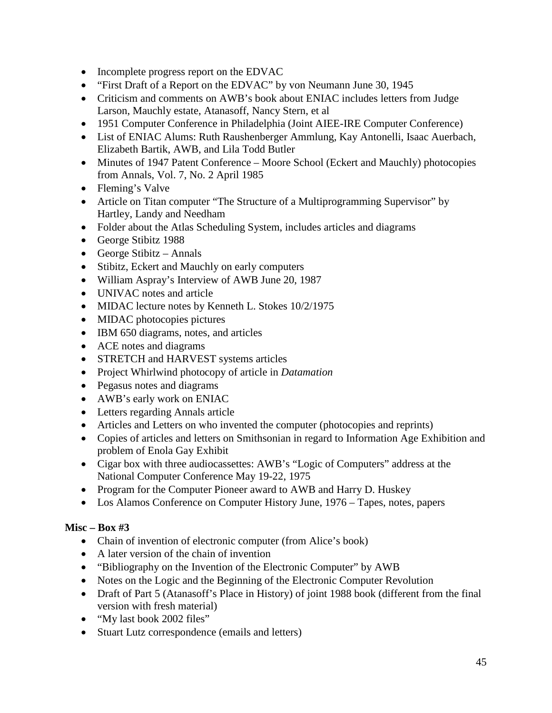- Incomplete progress report on the EDVAC
- "First Draft of a Report on the EDVAC" by von Neumann June 30, 1945
- Criticism and comments on AWB's book about ENIAC includes letters from Judge Larson, Mauchly estate, Atanasoff, Nancy Stern, et al
- 1951 Computer Conference in Philadelphia (Joint AIEE-IRE Computer Conference)
- List of ENIAC Alums: Ruth Raushenberger Ammlung, Kay Antonelli, Isaac Auerbach, Elizabeth Bartik, AWB, and Lila Todd Butler
- Minutes of 1947 Patent Conference Moore School (Eckert and Mauchly) photocopies from Annals, Vol. 7, No. 2 April 1985
- Fleming's Valve
- Article on Titan computer "The Structure of a Multiprogramming Supervisor" by Hartley, Landy and Needham
- Folder about the Atlas Scheduling System, includes articles and diagrams
- George Stibitz 1988
- George Stibitz Annals
- Stibitz, Eckert and Mauchly on early computers
- William Aspray's Interview of AWB June 20, 1987
- UNIVAC notes and article
- MIDAC lecture notes by Kenneth L. Stokes 10/2/1975
- MIDAC photocopies pictures
- IBM 650 diagrams, notes, and articles
- ACE notes and diagrams
- STRETCH and HARVEST systems articles
- Project Whirlwind photocopy of article in *Datamation*
- Pegasus notes and diagrams
- AWB's early work on ENIAC
- Letters regarding Annals article
- Articles and Letters on who invented the computer (photocopies and reprints)
- Copies of articles and letters on Smithsonian in regard to Information Age Exhibition and problem of Enola Gay Exhibit
- Cigar box with three audiocassettes: AWB's "Logic of Computers" address at the National Computer Conference May 19-22, 1975
- Program for the Computer Pioneer award to AWB and Harry D. Huskey
- Los Alamos Conference on Computer History June, 1976 Tapes, notes, papers

- Chain of invention of electronic computer (from Alice's book)
- A later version of the chain of invention
- "Bibliography on the Invention of the Electronic Computer" by AWB
- Notes on the Logic and the Beginning of the Electronic Computer Revolution
- Draft of Part 5 (Atanasoff's Place in History) of joint 1988 book (different from the final version with fresh material)
- "My last book 2002 files"
- Stuart Lutz correspondence (emails and letters)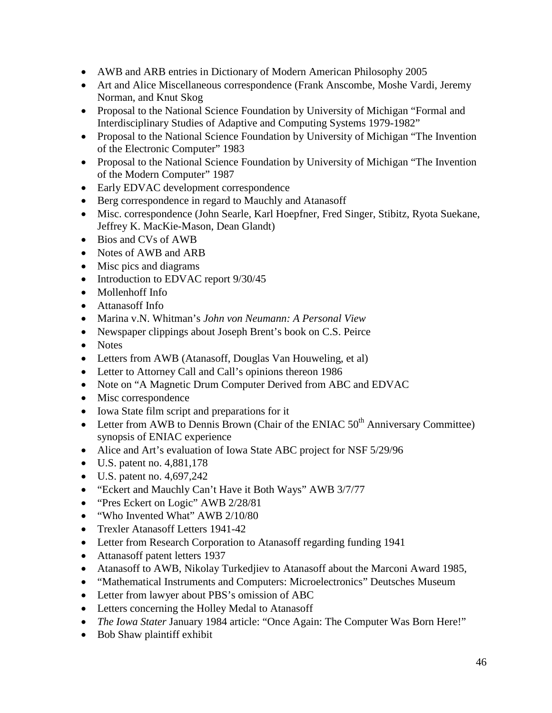- AWB and ARB entries in Dictionary of Modern American Philosophy 2005
- Art and Alice Miscellaneous correspondence (Frank Anscombe, Moshe Vardi, Jeremy Norman, and Knut Skog
- Proposal to the National Science Foundation by University of Michigan "Formal and Interdisciplinary Studies of Adaptive and Computing Systems 1979-1982"
- Proposal to the National Science Foundation by University of Michigan "The Invention" of the Electronic Computer" 1983
- Proposal to the National Science Foundation by University of Michigan "The Invention" of the Modern Computer" 1987
- Early EDVAC development correspondence
- Berg correspondence in regard to Mauchly and Atanasoff
- Misc. correspondence (John Searle, Karl Hoepfner, Fred Singer, Stibitz, Ryota Suekane, Jeffrey K. MacKie-Mason, Dean Glandt)
- Bios and CVs of AWB
- Notes of AWB and ARB
- Misc pics and diagrams
- Introduction to EDVAC report  $9/30/45$
- Mollenhoff Info
- Attanasoff Info
- Marina v.N. Whitman's *John von Neumann: A Personal View*
- Newspaper clippings about Joseph Brent's book on C.S. Peirce
- Notes
- Letters from AWB (Atanasoff, Douglas Van Houweling, et al)
- Letter to Attorney Call and Call's opinions thereon 1986
- Note on "A Magnetic Drum Computer Derived from ABC and EDVAC
- Misc correspondence
- Iowa State film script and preparations for it
- Letter from AWB to Dennis Brown (Chair of the ENIAC  $50<sup>th</sup>$  Anniversary Committee) synopsis of ENIAC experience
- Alice and Art's evaluation of Iowa State ABC project for NSF 5/29/96
- U.S. patent no. 4,881,178
- U.S. patent no. 4,697,242
- "Eckert and Mauchly Can't Have it Both Ways" AWB 3/7/77
- "Pres Eckert on Logic" AWB 2/28/81
- "Who Invented What" AWB 2/10/80
- Trexler Atanasoff Letters 1941-42
- Letter from Research Corporation to Atanasoff regarding funding 1941
- Attanasoff patent letters 1937
- Atanasoff to AWB, Nikolay Turkedjiev to Atanasoff about the Marconi Award 1985,
- "Mathematical Instruments and Computers: Microelectronics" Deutsches Museum
- Letter from lawyer about PBS's omission of ABC
- Letters concerning the Holley Medal to Atanasoff
- *The Iowa Stater* January 1984 article: "Once Again: The Computer Was Born Here!"
- Bob Shaw plaintiff exhibit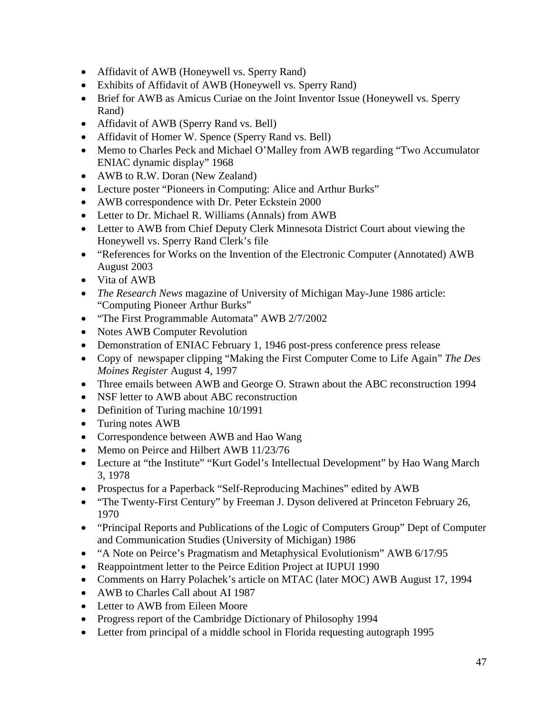- Affidavit of AWB (Honeywell vs. Sperry Rand)
- Exhibits of Affidavit of AWB (Honeywell vs. Sperry Rand)
- Brief for AWB as Amicus Curiae on the Joint Inventor Issue (Honeywell vs. Sperry Rand)
- Affidavit of AWB (Sperry Rand vs. Bell)
- Affidavit of Homer W. Spence (Sperry Rand vs. Bell)
- Memo to Charles Peck and Michael O'Malley from AWB regarding "Two Accumulator" ENIAC dynamic display" 1968
- AWB to R.W. Doran (New Zealand)
- Lecture poster "Pioneers in Computing: Alice and Arthur Burks"
- AWB correspondence with Dr. Peter Eckstein 2000
- Letter to Dr. Michael R. Williams (Annals) from AWB
- Letter to AWB from Chief Deputy Clerk Minnesota District Court about viewing the Honeywell vs. Sperry Rand Clerk's file
- "References for Works on the Invention of the Electronic Computer (Annotated) AWB August 2003
- Vita of AWB
- *The Research News* magazine of University of Michigan May-June 1986 article: "Computing Pioneer Arthur Burks"
- "The First Programmable Automata" AWB 2/7/2002
- Notes AWB Computer Revolution
- Demonstration of ENIAC February 1, 1946 post-press conference press release
- Copy of newspaper clipping "Making the First Computer Come to Life Again" *The Des Moines Register* August 4, 1997
- Three emails between AWB and George O. Strawn about the ABC reconstruction 1994
- NSF letter to AWB about ABC reconstruction
- Definition of Turing machine 10/1991
- Turing notes AWB
- Correspondence between AWB and Hao Wang
- Memo on Peirce and Hilbert AWB 11/23/76
- Lecture at "the Institute" "Kurt Godel's Intellectual Development" by Hao Wang March 3, 1978
- Prospectus for a Paperback "Self-Reproducing Machines" edited by AWB
- "The Twenty-First Century" by Freeman J. Dyson delivered at Princeton February 26, 1970
- "Principal Reports and Publications of the Logic of Computers Group" Dept of Computer and Communication Studies (University of Michigan) 1986
- "A Note on Peirce's Pragmatism and Metaphysical Evolutionism" AWB 6/17/95
- Reappointment letter to the Peirce Edition Project at IUPUI 1990
- Comments on Harry Polachek's article on MTAC (later MOC) AWB August 17, 1994
- AWB to Charles Call about AI 1987
- Letter to AWB from Eileen Moore
- Progress report of the Cambridge Dictionary of Philosophy 1994
- Letter from principal of a middle school in Florida requesting autograph 1995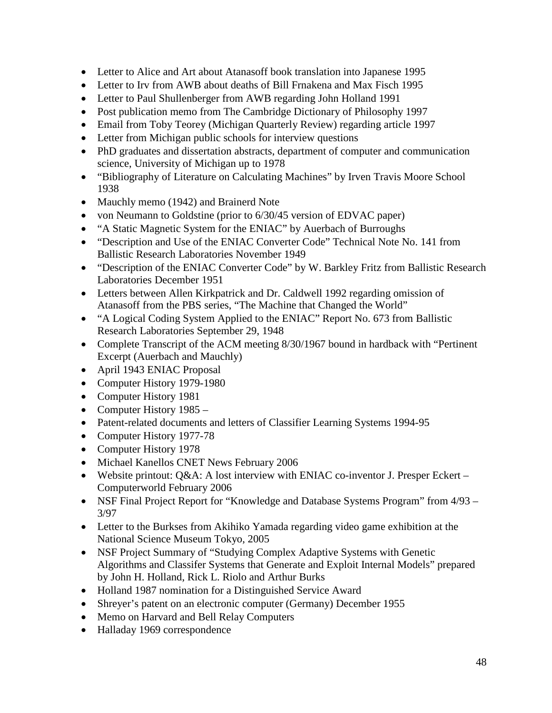- Letter to Alice and Art about Atanasoff book translation into Japanese 1995
- Letter to Irv from AWB about deaths of Bill Frnakena and Max Fisch 1995
- Letter to Paul Shullenberger from AWB regarding John Holland 1991
- Post publication memo from The Cambridge Dictionary of Philosophy 1997
- Email from Toby Teorey (Michigan Quarterly Review) regarding article 1997
- Letter from Michigan public schools for interview questions
- PhD graduates and dissertation abstracts, department of computer and communication science, University of Michigan up to 1978
- "Bibliography of Literature on Calculating Machines" by Irven Travis Moore School 1938
- Mauchly memo (1942) and Brainerd Note
- von Neumann to Goldstine (prior to 6/30/45 version of EDVAC paper)
- "A Static Magnetic System for the ENIAC" by Auerbach of Burroughs
- "Description and Use of the ENIAC Converter Code" Technical Note No. 141 from Ballistic Research Laboratories November 1949
- "Description of the ENIAC Converter Code" by W. Barkley Fritz from Ballistic Research Laboratories December 1951
- Letters between Allen Kirkpatrick and Dr. Caldwell 1992 regarding omission of Atanasoff from the PBS series, "The Machine that Changed the World"
- "A Logical Coding System Applied to the ENIAC" Report No. 673 from Ballistic Research Laboratories September 29, 1948
- Complete Transcript of the ACM meeting 8/30/1967 bound in hardback with "Pertinent" Excerpt (Auerbach and Mauchly)
- April 1943 ENIAC Proposal
- Computer History 1979-1980
- Computer History 1981
- Computer History 1985 –
- Patent-related documents and letters of Classifier Learning Systems 1994-95
- Computer History 1977-78
- Computer History 1978
- Michael Kanellos CNET News February 2006
- Website printout: Q&A: A lost interview with ENIAC co-inventor J. Presper Eckert Computerworld February 2006
- NSF Final Project Report for "Knowledge and Database Systems Program" from 4/93 3/97
- Letter to the Burkses from Akihiko Yamada regarding video game exhibition at the National Science Museum Tokyo, 2005
- NSF Project Summary of "Studying Complex Adaptive Systems with Genetic Algorithms and Classifer Systems that Generate and Exploit Internal Models" prepared by John H. Holland, Rick L. Riolo and Arthur Burks
- Holland 1987 nomination for a Distinguished Service Award
- Shreyer's patent on an electronic computer (Germany) December 1955
- Memo on Harvard and Bell Relay Computers
- Halladay 1969 correspondence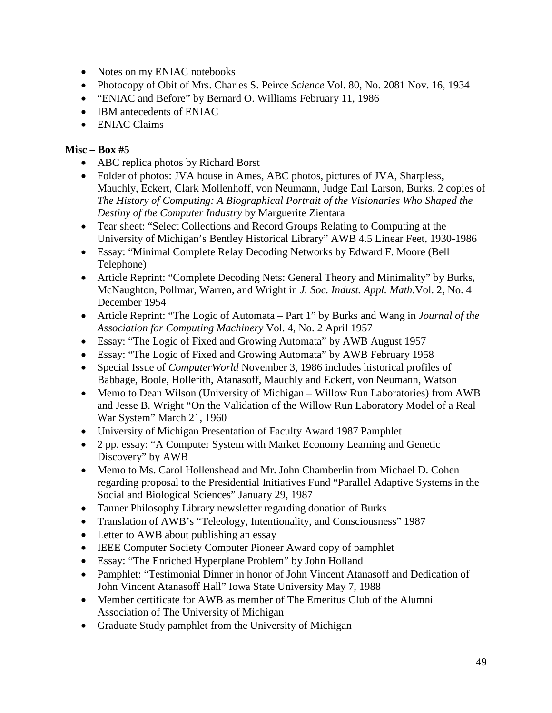- Notes on my ENIAC notebooks
- Photocopy of Obit of Mrs. Charles S. Peirce *Science* Vol. 80, No. 2081 Nov. 16, 1934
- "ENIAC and Before" by Bernard O. Williams February 11, 1986
- IBM antecedents of ENIAC
- ENIAC Claims

- ABC replica photos by Richard Borst
- Folder of photos: JVA house in Ames, ABC photos, pictures of JVA, Sharpless, Mauchly, Eckert, Clark Mollenhoff, von Neumann, Judge Earl Larson, Burks, 2 copies of *The History of Computing: A Biographical Portrait of the Visionaries Who Shaped the Destiny of the Computer Industry* by Marguerite Zientara
- Tear sheet: "Select Collections and Record Groups Relating to Computing at the University of Michigan's Bentley Historical Library" AWB 4.5 Linear Feet, 1930-1986
- Essay: "Minimal Complete Relay Decoding Networks by Edward F. Moore (Bell Telephone)
- Article Reprint: "Complete Decoding Nets: General Theory and Minimality" by Burks, McNaughton, Pollmar, Warren, and Wright in *J. Soc. Indust. Appl. Math.*Vol. 2, No. 4 December 1954
- Article Reprint: "The Logic of Automata Part 1" by Burks and Wang in *Journal of the Association for Computing Machinery* Vol. 4, No. 2 April 1957
- Essay: "The Logic of Fixed and Growing Automata" by AWB August 1957
- Essay: "The Logic of Fixed and Growing Automata" by AWB February 1958
- Special Issue of *ComputerWorld* November 3, 1986 includes historical profiles of Babbage, Boole, Hollerith, Atanasoff, Mauchly and Eckert, von Neumann, Watson
- Memo to Dean Wilson (University of Michigan Willow Run Laboratories) from AWB and Jesse B. Wright "On the Validation of the Willow Run Laboratory Model of a Real War System" March 21, 1960
- University of Michigan Presentation of Faculty Award 1987 Pamphlet
- 2 pp. essay: "A Computer System with Market Economy Learning and Genetic Discovery" by AWB
- Memo to Ms. Carol Hollenshead and Mr. John Chamberlin from Michael D. Cohen regarding proposal to the Presidential Initiatives Fund "Parallel Adaptive Systems in the Social and Biological Sciences" January 29, 1987
- Tanner Philosophy Library newsletter regarding donation of Burks
- Translation of AWB's "Teleology, Intentionality, and Consciousness" 1987
- Letter to AWB about publishing an essay
- IEEE Computer Society Computer Pioneer Award copy of pamphlet
- Essay: "The Enriched Hyperplane Problem" by John Holland
- Pamphlet: "Testimonial Dinner in honor of John Vincent Atanasoff and Dedication of John Vincent Atanasoff Hall" Iowa State University May 7, 1988
- Member certificate for AWB as member of The Emeritus Club of the Alumni Association of The University of Michigan
- Graduate Study pamphlet from the University of Michigan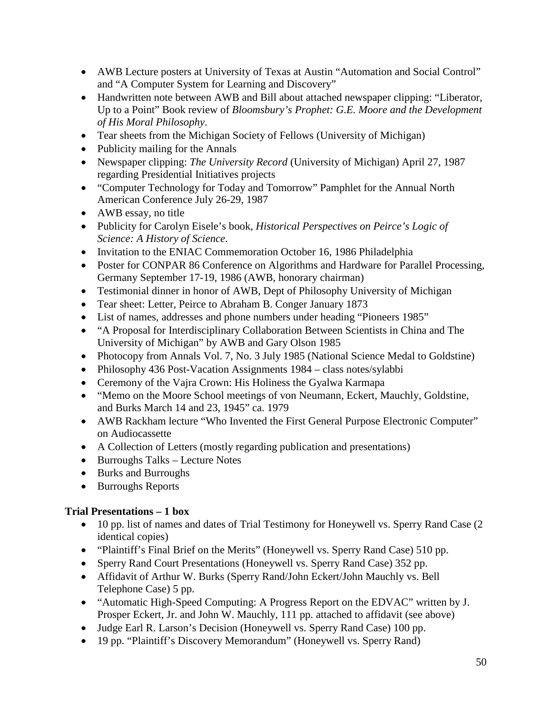- AWB Lecture posters at University of Texas at Austin "Automation and Social Control" and "A Computer System for Learning and Discovery"
- Handwritten note between AWB and Bill about attached newspaper clipping: "Liberator, Up to a Point" Book review of *Bloomsbury's Prophet: G.E. Moore and the Development of His Moral Philosophy*.
- Tear sheets from the Michigan Society of Fellows (University of Michigan)
- Publicity mailing for the Annals
- Newspaper clipping: *The University Record* (University of Michigan) April 27, 1987 regarding Presidential Initiatives projects
- "Computer Technology for Today and Tomorrow" Pamphlet for the Annual North American Conference July 26-29, 1987
- AWB essay, no title
- Publicity for Carolyn Eisele's book, *Historical Perspectives on Peirce's Logic of Science: A History of Science*.
- Invitation to the ENIAC Commemoration October 16, 1986 Philadelphia
- Poster for CONPAR 86 Conference on Algorithms and Hardware for Parallel Processing, Germany September 17-19, 1986 (AWB, honorary chairman)
- Testimonial dinner in honor of AWB, Dept of Philosophy University of Michigan
- Tear sheet: Letter, Peirce to Abraham B. Conger January 1873
- List of names, addresses and phone numbers under heading "Pioneers 1985"
- "A Proposal for Interdisciplinary Collaboration Between Scientists in China and The University of Michigan" by AWB and Gary Olson 1985
- Photocopy from Annals Vol. 7, No. 3 July 1985 (National Science Medal to Goldstine)
- Philosophy 436 Post-Vacation Assignments 1984 class notes/sylabbi
- Ceremony of the Vajra Crown: His Holiness the Gyalwa Karmapa
- "Memo on the Moore School meetings of von Neumann, Eckert, Mauchly, Goldstine, and Burks March 14 and 23, 1945" ca. 1979
- AWB Rackham lecture "Who Invented the First General Purpose Electronic Computer" on Audiocassette
- A Collection of Letters (mostly regarding publication and presentations)
- Burroughs Talks Lecture Notes
- Burks and Burroughs
- Burroughs Reports

# **Trial Presentations – 1 box**

- 10 pp. list of names and dates of Trial Testimony for Honeywell vs. Sperry Rand Case (2) identical copies)
- "Plaintiff's Final Brief on the Merits" (Honeywell vs. Sperry Rand Case) 510 pp.
- Sperry Rand Court Presentations (Honeywell vs. Sperry Rand Case) 352 pp.
- Affidavit of Arthur W. Burks (Sperry Rand/John Eckert/John Mauchly vs. Bell Telephone Case) 5 pp.
- "Automatic High-Speed Computing: A Progress Report on the EDVAC" written by J. Prosper Eckert, Jr. and John W. Mauchly, 111 pp. attached to affidavit (see above)
- Judge Earl R. Larson's Decision (Honeywell vs. Sperry Rand Case) 100 pp.
- 19 pp. "Plaintiff's Discovery Memorandum" (Honeywell vs. Sperry Rand)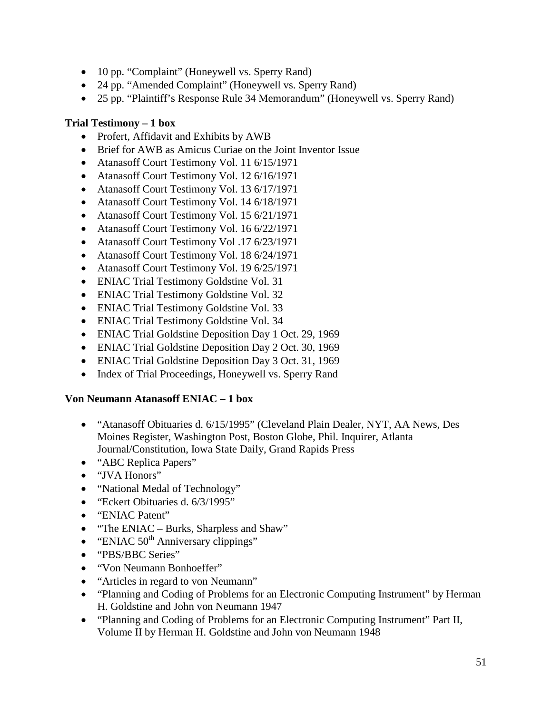- 10 pp. "Complaint" (Honeywell vs. Sperry Rand)
- 24 pp. "Amended Complaint" (Honeywell vs. Sperry Rand)
- 25 pp. "Plaintiff's Response Rule 34 Memorandum" (Honeywell vs. Sperry Rand)

#### **Trial Testimony – 1 box**

- Profert, Affidavit and Exhibits by AWB
- Brief for AWB as Amicus Curiae on the Joint Inventor Issue
- Atanasoff Court Testimony Vol. 11 6/15/1971
- Atanasoff Court Testimony Vol. 12 6/16/1971
- Atanasoff Court Testimony Vol. 13 6/17/1971
- Atanasoff Court Testimony Vol. 14 6/18/1971
- Atanasoff Court Testimony Vol. 15 6/21/1971
- Atanasoff Court Testimony Vol. 16 6/22/1971
- Atanasoff Court Testimony Vol .17 6/23/1971
- Atanasoff Court Testimony Vol. 18 6/24/1971
- Atanasoff Court Testimony Vol. 19 6/25/1971
- ENIAC Trial Testimony Goldstine Vol. 31
- ENIAC Trial Testimony Goldstine Vol. 32
- ENIAC Trial Testimony Goldstine Vol. 33
- ENIAC Trial Testimony Goldstine Vol. 34
- ENIAC Trial Goldstine Deposition Day 1 Oct. 29, 1969
- ENIAC Trial Goldstine Deposition Day 2 Oct. 30, 1969
- ENIAC Trial Goldstine Deposition Day 3 Oct. 31, 1969
- Index of Trial Proceedings, Honeywell vs. Sperry Rand

#### **Von Neumann Atanasoff ENIAC – 1 box**

- "Atanasoff Obituaries d. 6/15/1995" (Cleveland Plain Dealer, NYT, AA News, Des Moines Register, Washington Post, Boston Globe, Phil. Inquirer, Atlanta Journal/Constitution, Iowa State Daily, Grand Rapids Press
- "ABC Replica Papers"
- "JVA Honors"
- "National Medal of Technology"
- "Eckert Obituaries d. 6/3/1995"
- "ENIAC Patent"
- "The ENIAC Burks, Sharpless and Shaw"
- "ENIAC  $50<sup>th</sup>$  Anniversary clippings"
- "PBS/BBC Series"
- "Von Neumann Bonhoeffer"
- "Articles in regard to von Neumann"
- "Planning and Coding of Problems for an Electronic Computing Instrument" by Herman H. Goldstine and John von Neumann 1947
- "Planning and Coding of Problems for an Electronic Computing Instrument" Part II, Volume II by Herman H. Goldstine and John von Neumann 1948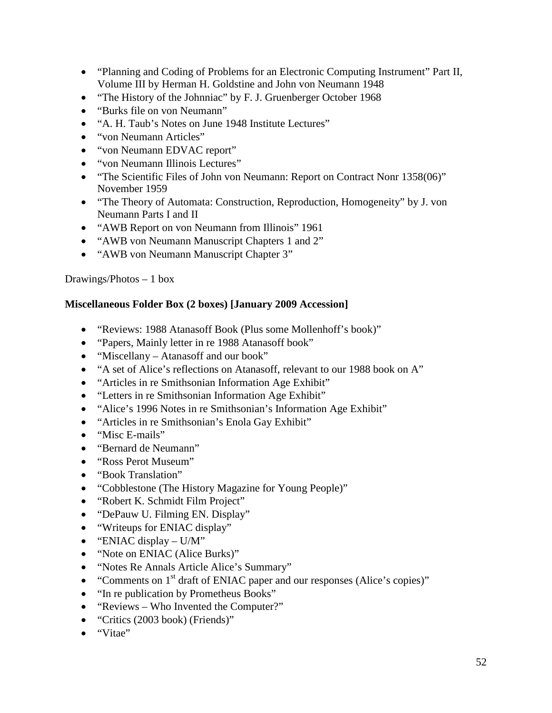- "Planning and Coding of Problems for an Electronic Computing Instrument" Part II, Volume III by Herman H. Goldstine and John von Neumann 1948
- "The History of the Johnniac" by F. J. Gruenberger October 1968
- "Burks file on von Neumann"
- "A. H. Taub's Notes on June 1948 Institute Lectures"
- "von Neumann Articles"
- "von Neumann EDVAC report"
- "von Neumann Illinois Lectures"
- "The Scientific Files of John von Neumann: Report on Contract Nonr 1358(06)" November 1959
- "The Theory of Automata: Construction, Reproduction, Homogeneity" by J. von Neumann Parts I and II
- "AWB Report on von Neumann from Illinois" 1961
- "AWB von Neumann Manuscript Chapters 1 and 2"
- "AWB von Neumann Manuscript Chapter 3"

#### Drawings/Photos – 1 box

#### **Miscellaneous Folder Box (2 boxes) [January 2009 Accession]**

- "Reviews: 1988 Atanasoff Book (Plus some Mollenhoff's book)"
- "Papers, Mainly letter in re 1988 Atanasoff book"
- "Miscellany Atanasoff and our book"
- "A set of Alice's reflections on Atanasoff, relevant to our 1988 book on A"
- "Articles in re Smithsonian Information Age Exhibit"
- "Letters in re Smithsonian Information Age Exhibit"
- "Alice's 1996 Notes in re Smithsonian's Information Age Exhibit"
- "Articles in re Smithsonian's Enola Gay Exhibit"
- "Misc E-mails"
- "Bernard de Neumann"
- "Ross Perot Museum"
- "Book Translation"
- "Cobblestone (The History Magazine for Young People)"
- "Robert K. Schmidt Film Project"
- "DePauw U. Filming EN. Display"
- "Writeups for ENIAC display"
- "ENIAC display  $U/M$ "
- "Note on ENIAC (Alice Burks)"
- "Notes Re Annals Article Alice's Summary"
- "Comments on  $1<sup>st</sup>$  draft of ENIAC paper and our responses (Alice's copies)"
- "In re publication by Prometheus Books"
- "Reviews Who Invented the Computer?"
- "Critics (2003 book) (Friends)"
- "Vitae"